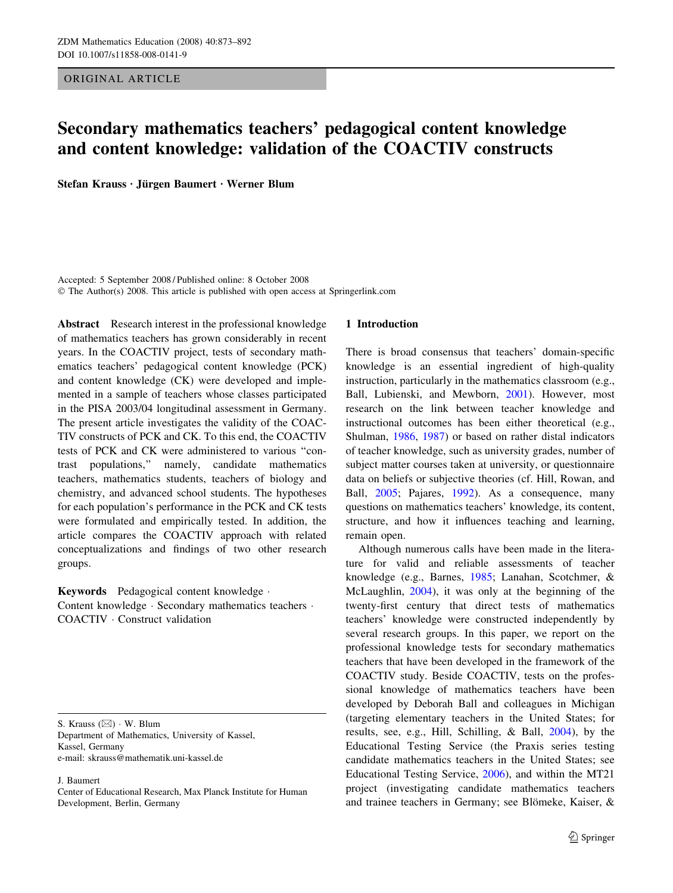<span id="page-0-0"></span>ORIGINAL ARTICLE

# Secondary mathematics teachers' pedagogical content knowledge and content knowledge: validation of the COACTIV constructs

Stefan Krauss · Jürgen Baumert · Werner Blum

Accepted: 5 September 2008 / Published online: 8 October 2008  $\odot$  The Author(s) 2008. This article is published with open access at Springerlink.com

Abstract Research interest in the professional knowledge of mathematics teachers has grown considerably in recent years. In the COACTIV project, tests of secondary mathematics teachers' pedagogical content knowledge (PCK) and content knowledge (CK) were developed and implemented in a sample of teachers whose classes participated in the PISA 2003/04 longitudinal assessment in Germany. The present article investigates the validity of the COAC-TIV constructs of PCK and CK. To this end, the COACTIV tests of PCK and CK were administered to various ''contrast populations,'' namely, candidate mathematics teachers, mathematics students, teachers of biology and chemistry, and advanced school students. The hypotheses for each population's performance in the PCK and CK tests were formulated and empirically tested. In addition, the article compares the COACTIV approach with related conceptualizations and findings of two other research groups.

Keywords Pedagogical content knowledge . Content knowledge · Secondary mathematics teachers · COACTIV · Construct validation

S. Krauss  $(\boxtimes) \cdot W$ . Blum Department of Mathematics, University of Kassel, Kassel, Germany e-mail: skrauss@mathematik.uni-kassel.de

J. Baumert

### 1 Introduction

There is broad consensus that teachers' domain-specific knowledge is an essential ingredient of high-quality instruction, particularly in the mathematics classroom (e.g., Ball, Lubienski, and Mewborn, [2001\)](#page-17-0). However, most research on the link between teacher knowledge and instructional outcomes has been either theoretical (e.g., Shulman, [1986,](#page-19-0) [1987\)](#page-19-0) or based on rather distal indicators of teacher knowledge, such as university grades, number of subject matter courses taken at university, or questionnaire data on beliefs or subjective theories (cf. Hill, Rowan, and Ball, [2005](#page-18-0); Pajares, [1992\)](#page-18-0). As a consequence, many questions on mathematics teachers' knowledge, its content, structure, and how it influences teaching and learning, remain open.

Although numerous calls have been made in the literature for valid and reliable assessments of teacher knowledge (e.g., Barnes, [1985;](#page-17-0) Lanahan, Scotchmer, & McLaughlin, [2004\)](#page-18-0), it was only at the beginning of the twenty-first century that direct tests of mathematics teachers' knowledge were constructed independently by several research groups. In this paper, we report on the professional knowledge tests for secondary mathematics teachers that have been developed in the framework of the COACTIV study. Beside COACTIV, tests on the professional knowledge of mathematics teachers have been developed by Deborah Ball and colleagues in Michigan (targeting elementary teachers in the United States; for results, see, e.g., Hill, Schilling, & Ball, [2004](#page-18-0)), by the Educational Testing Service (the Praxis series testing candidate mathematics teachers in the United States; see Educational Testing Service, [2006](#page-17-0)), and within the MT21 project (investigating candidate mathematics teachers and trainee teachers in Germany; see Blömeke, Kaiser, &

Center of Educational Research, Max Planck Institute for Human Development, Berlin, Germany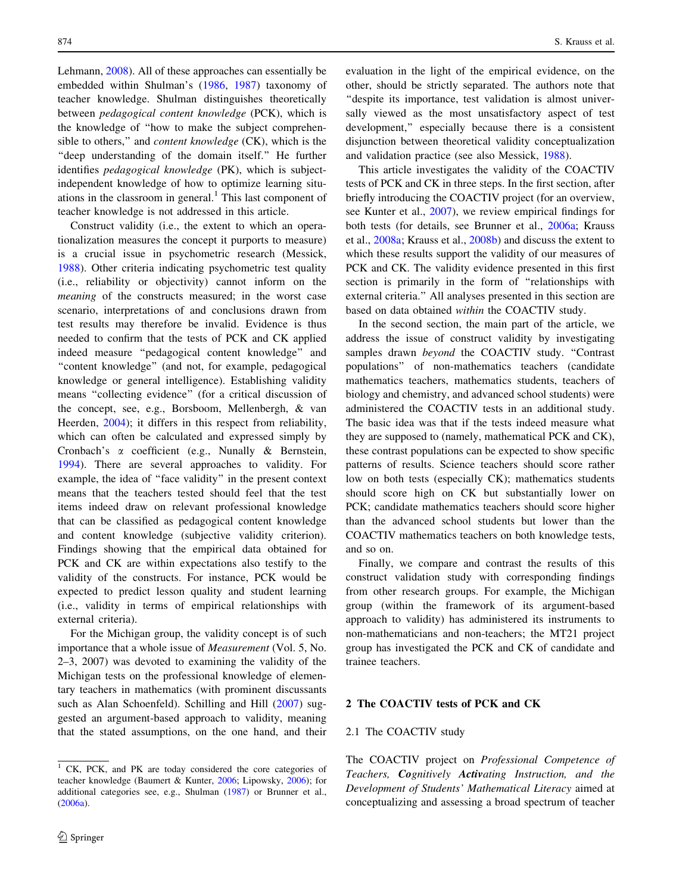<span id="page-1-0"></span>Lehmann, [2008\)](#page-17-0). All of these approaches can essentially be embedded within Shulman's [\(1986](#page-19-0), [1987](#page-19-0)) taxonomy of teacher knowledge. Shulman distinguishes theoretically between pedagogical content knowledge (PCK), which is the knowledge of ''how to make the subject comprehensible to others," and *content knowledge* (CK), which is the "deep understanding of the domain itself." He further identifies *pedagogical knowledge* (PK), which is subjectindependent knowledge of how to optimize learning situations in the classroom in general.<sup>1</sup> This last component of teacher knowledge is not addressed in this article.

Construct validity (i.e., the extent to which an operationalization measures the concept it purports to measure) is a crucial issue in psychometric research (Messick, [1988\)](#page-18-0). Other criteria indicating psychometric test quality (i.e., reliability or objectivity) cannot inform on the meaning of the constructs measured; in the worst case scenario, interpretations of and conclusions drawn from test results may therefore be invalid. Evidence is thus needed to confirm that the tests of PCK and CK applied indeed measure ''pedagogical content knowledge'' and "content knowledge" (and not, for example, pedagogical knowledge or general intelligence). Establishing validity means ''collecting evidence'' (for a critical discussion of the concept, see, e.g., Borsboom, Mellenbergh, & van Heerden, [2004](#page-17-0)); it differs in this respect from reliability, which can often be calculated and expressed simply by Cronbach's a coefficient (e.g., Nunally & Bernstein, [1994\)](#page-18-0). There are several approaches to validity. For example, the idea of ''face validity'' in the present context means that the teachers tested should feel that the test items indeed draw on relevant professional knowledge that can be classified as pedagogical content knowledge and content knowledge (subjective validity criterion). Findings showing that the empirical data obtained for PCK and CK are within expectations also testify to the validity of the constructs. For instance, PCK would be expected to predict lesson quality and student learning (i.e., validity in terms of empirical relationships with external criteria).

For the Michigan group, the validity concept is of such importance that a whole issue of Measurement (Vol. 5, No. 2–3, 2007) was devoted to examining the validity of the Michigan tests on the professional knowledge of elementary teachers in mathematics (with prominent discussants such as Alan Schoenfeld). Schilling and Hill ([2007\)](#page-19-0) suggested an argument-based approach to validity, meaning that the stated assumptions, on the one hand, and their evaluation in the light of the empirical evidence, on the other, should be strictly separated. The authors note that ''despite its importance, test validation is almost universally viewed as the most unsatisfactory aspect of test development,'' especially because there is a consistent disjunction between theoretical validity conceptualization and validation practice (see also Messick, [1988](#page-18-0)).

This article investigates the validity of the COACTIV tests of PCK and CK in three steps. In the first section, after briefly introducing the COACTIV project (for an overview, see Kunter et al., [2007](#page-18-0)), we review empirical findings for both tests (for details, see Brunner et al., [2006a](#page-17-0); Krauss et al., [2008a](#page-18-0); Krauss et al., [2008b](#page-18-0)) and discuss the extent to which these results support the validity of our measures of PCK and CK. The validity evidence presented in this first section is primarily in the form of "relationships with external criteria.'' All analyses presented in this section are based on data obtained within the COACTIV study.

In the second section, the main part of the article, we address the issue of construct validity by investigating samples drawn *beyond* the COACTIV study. "Contrast populations'' of non-mathematics teachers (candidate mathematics teachers, mathematics students, teachers of biology and chemistry, and advanced school students) were administered the COACTIV tests in an additional study. The basic idea was that if the tests indeed measure what they are supposed to (namely, mathematical PCK and CK), these contrast populations can be expected to show specific patterns of results. Science teachers should score rather low on both tests (especially CK); mathematics students should score high on CK but substantially lower on PCK; candidate mathematics teachers should score higher than the advanced school students but lower than the COACTIV mathematics teachers on both knowledge tests, and so on.

Finally, we compare and contrast the results of this construct validation study with corresponding findings from other research groups. For example, the Michigan group (within the framework of its argument-based approach to validity) has administered its instruments to non-mathematicians and non-teachers; the MT21 project group has investigated the PCK and CK of candidate and trainee teachers.

### 2 The COACTIV tests of PCK and CK

# 2.1 The COACTIV study

The COACTIV project on Professional Competence of Teachers, Cognitively Activating Instruction, and the Development of Students' Mathematical Literacy aimed at conceptualizing and assessing a broad spectrum of teacher

<sup>&</sup>lt;sup>1</sup> CK, PCK, and PK are today considered the core categories of teacher knowledge (Baumert & Kunter, [2006;](#page-17-0) Lipowsky, [2006\)](#page-18-0); for additional categories see, e.g., Shulman [\(1987\)](#page-19-0) or Brunner et al., ([2006a\)](#page-17-0).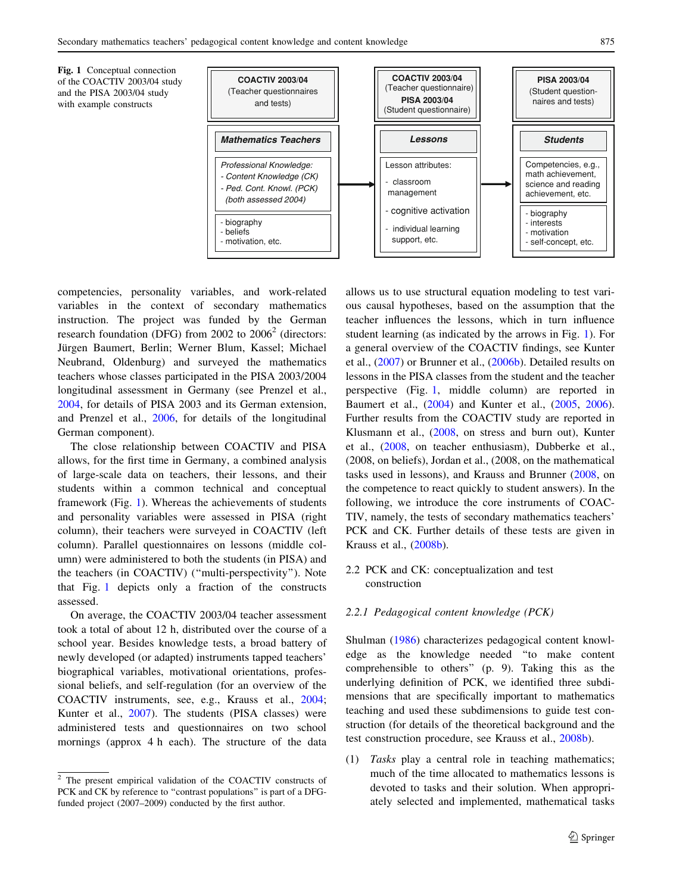<span id="page-2-0"></span>Fig. 1 Conceptual connection of the COACTIV 2003/04 study and the PISA 2003/04 study with example constructs



competencies, personality variables, and work-related variables in the context of secondary mathematics instruction. The project was funded by the German research foundation (DFG) from  $2002$  to  $2006<sup>2</sup>$  (directors: Jürgen Baumert, Berlin; Werner Blum, Kassel; Michael Neubrand, Oldenburg) and surveyed the mathematics teachers whose classes participated in the PISA 2003/2004 longitudinal assessment in Germany (see Prenzel et al., [2004,](#page-18-0) for details of PISA 2003 and its German extension, and Prenzel et al., [2006,](#page-19-0) for details of the longitudinal German component).

The close relationship between COACTIV and PISA allows, for the first time in Germany, a combined analysis of large-scale data on teachers, their lessons, and their students within a common technical and conceptual framework (Fig. 1). Whereas the achievements of students and personality variables were assessed in PISA (right column), their teachers were surveyed in COACTIV (left column). Parallel questionnaires on lessons (middle column) were administered to both the students (in PISA) and the teachers (in COACTIV) (''multi-perspectivity''). Note that Fig. 1 depicts only a fraction of the constructs assessed.

On average, the COACTIV 2003/04 teacher assessment took a total of about 12 h, distributed over the course of a school year. Besides knowledge tests, a broad battery of newly developed (or adapted) instruments tapped teachers' biographical variables, motivational orientations, professional beliefs, and self-regulation (for an overview of the COACTIV instruments, see, e.g., Krauss et al., [2004](#page-18-0); Kunter et al., [2007\)](#page-18-0). The students (PISA classes) were administered tests and questionnaires on two school mornings (approx 4 h each). The structure of the data allows us to use structural equation modeling to test various causal hypotheses, based on the assumption that the teacher influences the lessons, which in turn influence student learning (as indicated by the arrows in Fig. 1). For a general overview of the COACTIV findings, see Kunter et al., [\(2007](#page-18-0)) or Brunner et al., [\(2006b](#page-17-0)). Detailed results on lessons in the PISA classes from the student and the teacher perspective (Fig. 1, middle column) are reported in Baumert et al., [\(2004](#page-17-0)) and Kunter et al., [\(2005](#page-18-0), [2006](#page-18-0)). Further results from the COACTIV study are reported in Klusmann et al., ([2008,](#page-18-0) on stress and burn out), Kunter et al., [\(2008](#page-18-0), on teacher enthusiasm), Dubberke et al., (2008, on beliefs), Jordan et al., (2008, on the mathematical tasks used in lessons), and Krauss and Brunner [\(2008](#page-18-0), on the competence to react quickly to student answers). In the following, we introduce the core instruments of COAC-TIV, namely, the tests of secondary mathematics teachers' PCK and CK. Further details of these tests are given in Krauss et al., ([2008b\)](#page-18-0).

# 2.2 PCK and CK: conceptualization and test construction

### 2.2.1 Pedagogical content knowledge (PCK)

Shulman [\(1986](#page-19-0)) characterizes pedagogical content knowledge as the knowledge needed ''to make content comprehensible to others'' (p. 9). Taking this as the underlying definition of PCK, we identified three subdimensions that are specifically important to mathematics teaching and used these subdimensions to guide test construction (for details of the theoretical background and the test construction procedure, see Krauss et al., [2008b](#page-18-0)).

(1) Tasks play a central role in teaching mathematics; much of the time allocated to mathematics lessons is devoted to tasks and their solution. When appropriately selected and implemented, mathematical tasks

<sup>2</sup> The present empirical validation of the COACTIV constructs of PCK and CK by reference to ''contrast populations'' is part of a DFGfunded project (2007–2009) conducted by the first author.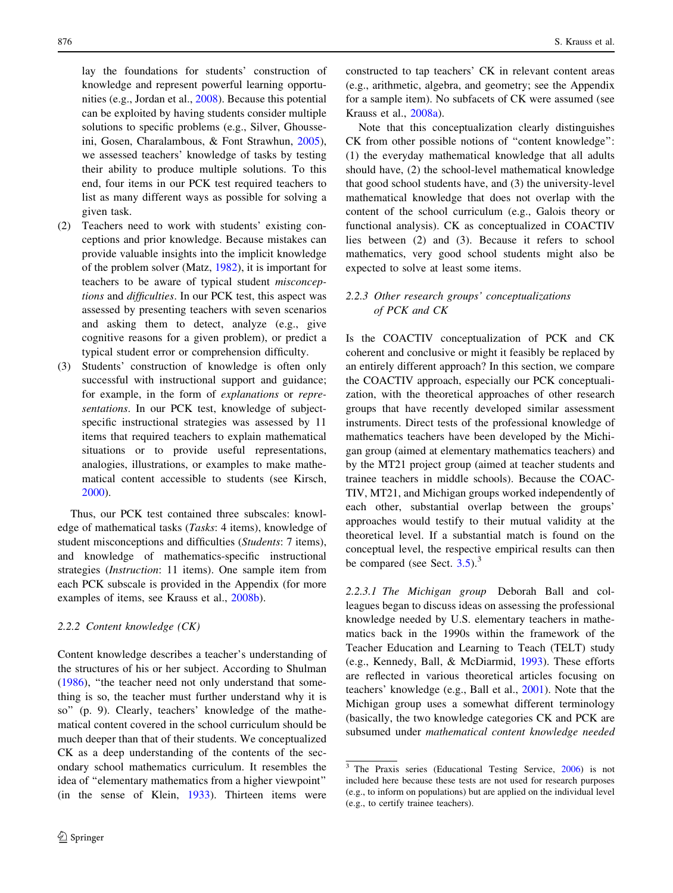<span id="page-3-0"></span>lay the foundations for students' construction of knowledge and represent powerful learning opportunities (e.g., Jordan et al., [2008\)](#page-18-0). Because this potential can be exploited by having students consider multiple solutions to specific problems (e.g., Silver, Ghousseini, Gosen, Charalambous, & Font Strawhun, [2005](#page-19-0)), we assessed teachers' knowledge of tasks by testing their ability to produce multiple solutions. To this end, four items in our PCK test required teachers to list as many different ways as possible for solving a given task.

- (2) Teachers need to work with students' existing conceptions and prior knowledge. Because mistakes can provide valuable insights into the implicit knowledge of the problem solver (Matz, [1982](#page-18-0)), it is important for teachers to be aware of typical student misconceptions and difficulties. In our PCK test, this aspect was assessed by presenting teachers with seven scenarios and asking them to detect, analyze (e.g., give cognitive reasons for a given problem), or predict a typical student error or comprehension difficulty.
- (3) Students' construction of knowledge is often only successful with instructional support and guidance; for example, in the form of explanations or representations. In our PCK test, knowledge of subjectspecific instructional strategies was assessed by 11 items that required teachers to explain mathematical situations or to provide useful representations, analogies, illustrations, or examples to make mathematical content accessible to students (see Kirsch, [2000\)](#page-18-0).

Thus, our PCK test contained three subscales: knowledge of mathematical tasks (Tasks: 4 items), knowledge of student misconceptions and difficulties (Students: 7 items), and knowledge of mathematics-specific instructional strategies (Instruction: 11 items). One sample item from each PCK subscale is provided in the Appendix (for more examples of items, see Krauss et al., [2008b\)](#page-18-0).

# 2.2.2 Content knowledge (CK)

Content knowledge describes a teacher's understanding of the structures of his or her subject. According to Shulman [\(1986](#page-19-0)), ''the teacher need not only understand that something is so, the teacher must further understand why it is so'' (p. 9). Clearly, teachers' knowledge of the mathematical content covered in the school curriculum should be much deeper than that of their students. We conceptualized CK as a deep understanding of the contents of the secondary school mathematics curriculum. It resembles the idea of ''elementary mathematics from a higher viewpoint'' (in the sense of Klein, [1933](#page-18-0)). Thirteen items were constructed to tap teachers' CK in relevant content areas (e.g., arithmetic, algebra, and geometry; see the Appendix for a sample item). No subfacets of CK were assumed (see Krauss et al., [2008a\)](#page-18-0).

Note that this conceptualization clearly distinguishes CK from other possible notions of ''content knowledge'': (1) the everyday mathematical knowledge that all adults should have, (2) the school-level mathematical knowledge that good school students have, and (3) the university-level mathematical knowledge that does not overlap with the content of the school curriculum (e.g., Galois theory or functional analysis). CK as conceptualized in COACTIV lies between (2) and (3). Because it refers to school mathematics, very good school students might also be expected to solve at least some items.

# 2.2.3 Other research groups' conceptualizations of PCK and CK

Is the COACTIV conceptualization of PCK and CK coherent and conclusive or might it feasibly be replaced by an entirely different approach? In this section, we compare the COACTIV approach, especially our PCK conceptualization, with the theoretical approaches of other research groups that have recently developed similar assessment instruments. Direct tests of the professional knowledge of mathematics teachers have been developed by the Michigan group (aimed at elementary mathematics teachers) and by the MT21 project group (aimed at teacher students and trainee teachers in middle schools). Because the COAC-TIV, MT21, and Michigan groups worked independently of each other, substantial overlap between the groups' approaches would testify to their mutual validity at the theoretical level. If a substantial match is found on the conceptual level, the respective empirical results can then be compared (see Sect.  $3.5$ ).<sup>3</sup>

2.2.3.1 The Michigan group Deborah Ball and colleagues began to discuss ideas on assessing the professional knowledge needed by U.S. elementary teachers in mathematics back in the 1990s within the framework of the Teacher Education and Learning to Teach (TELT) study (e.g., Kennedy, Ball, & McDiarmid, [1993\)](#page-18-0). These efforts are reflected in various theoretical articles focusing on teachers' knowledge (e.g., Ball et al., [2001](#page-17-0)). Note that the Michigan group uses a somewhat different terminology (basically, the two knowledge categories CK and PCK are subsumed under mathematical content knowledge needed

<sup>&</sup>lt;sup>3</sup> The Praxis series (Educational Testing Service, [2006\)](#page-17-0) is not included here because these tests are not used for research purposes (e.g., to inform on populations) but are applied on the individual level (e.g., to certify trainee teachers).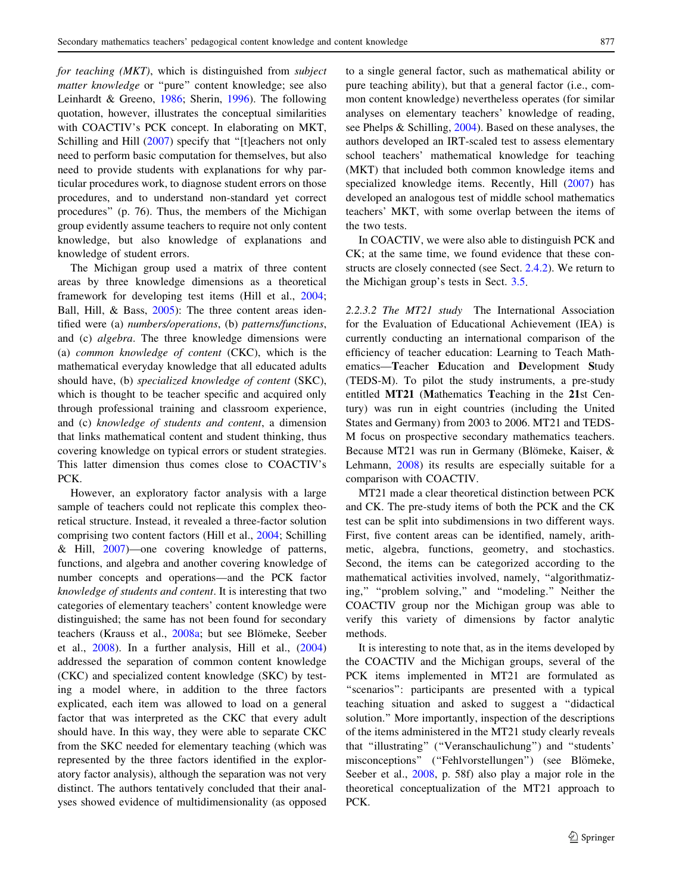for teaching (MKT), which is distinguished from *subject* matter knowledge or ''pure'' content knowledge; see also Leinhardt & Greeno, [1986;](#page-18-0) Sherin, [1996\)](#page-19-0). The following quotation, however, illustrates the conceptual similarities with COACTIV's PCK concept. In elaborating on MKT, Schilling and Hill [\(2007](#page-19-0)) specify that "[t]eachers not only need to perform basic computation for themselves, but also need to provide students with explanations for why particular procedures work, to diagnose student errors on those procedures, and to understand non-standard yet correct procedures'' (p. 76). Thus, the members of the Michigan group evidently assume teachers to require not only content knowledge, but also knowledge of explanations and knowledge of student errors.

The Michigan group used a matrix of three content areas by three knowledge dimensions as a theoretical framework for developing test items (Hill et al., [2004](#page-18-0); Ball, Hill, & Bass, [2005\)](#page-17-0): The three content areas identified were (a) numbers/operations, (b) patterns/functions, and (c) algebra. The three knowledge dimensions were (a) common knowledge of content (CKC), which is the mathematical everyday knowledge that all educated adults should have, (b) specialized knowledge of content (SKC), which is thought to be teacher specific and acquired only through professional training and classroom experience, and (c) knowledge of students and content, a dimension that links mathematical content and student thinking, thus covering knowledge on typical errors or student strategies. This latter dimension thus comes close to COACTIV's PCK.

However, an exploratory factor analysis with a large sample of teachers could not replicate this complex theoretical structure. Instead, it revealed a three-factor solution comprising two content factors (Hill et al., [2004](#page-18-0); Schilling & Hill, [2007](#page-19-0))—one covering knowledge of patterns, functions, and algebra and another covering knowledge of number concepts and operations—and the PCK factor knowledge of students and content. It is interesting that two categories of elementary teachers' content knowledge were distinguished; the same has not been found for secondary teachers (Krauss et al., [2008a;](#page-18-0) but see Blömeke, Seeber et al., [2008\)](#page-17-0). In a further analysis, Hill et al., ([2004\)](#page-18-0) addressed the separation of common content knowledge (CKC) and specialized content knowledge (SKC) by testing a model where, in addition to the three factors explicated, each item was allowed to load on a general factor that was interpreted as the CKC that every adult should have. In this way, they were able to separate CKC from the SKC needed for elementary teaching (which was represented by the three factors identified in the exploratory factor analysis), although the separation was not very distinct. The authors tentatively concluded that their analyses showed evidence of multidimensionality (as opposed to a single general factor, such as mathematical ability or pure teaching ability), but that a general factor (i.e., common content knowledge) nevertheless operates (for similar analyses on elementary teachers' knowledge of reading, see Phelps & Schilling, [2004](#page-18-0)). Based on these analyses, the authors developed an IRT-scaled test to assess elementary school teachers' mathematical knowledge for teaching (MKT) that included both common knowledge items and specialized knowledge items. Recently, Hill [\(2007](#page-17-0)) has developed an analogous test of middle school mathematics teachers' MKT, with some overlap between the items of the two tests.

In COACTIV, we were also able to distinguish PCK and CK; at the same time, we found evidence that these constructs are closely connected (see Sect. [2.4.2](#page-6-0)). We return to the Michigan group's tests in Sect. [3.5.](#page-14-0)

2.2.3.2 The MT21 study The International Association for the Evaluation of Educational Achievement (IEA) is currently conducting an international comparison of the efficiency of teacher education: Learning to Teach Mathematics—Teacher Education and Development Study (TEDS-M). To pilot the study instruments, a pre-study entitled MT21 (Mathematics Teaching in the 21st Century) was run in eight countries (including the United States and Germany) from 2003 to 2006. MT21 and TEDS-M focus on prospective secondary mathematics teachers. Because MT21 was run in Germany (Blömeke, Kaiser, & Lehmann, [2008](#page-17-0)) its results are especially suitable for a comparison with COACTIV.

MT21 made a clear theoretical distinction between PCK and CK. The pre-study items of both the PCK and the CK test can be split into subdimensions in two different ways. First, five content areas can be identified, namely, arithmetic, algebra, functions, geometry, and stochastics. Second, the items can be categorized according to the mathematical activities involved, namely, "algorithmatizing," "problem solving," and "modeling." Neither the COACTIV group nor the Michigan group was able to verify this variety of dimensions by factor analytic methods.

It is interesting to note that, as in the items developed by the COACTIV and the Michigan groups, several of the PCK items implemented in MT21 are formulated as "scenarios": participants are presented with a typical teaching situation and asked to suggest a ''didactical solution.'' More importantly, inspection of the descriptions of the items administered in the MT21 study clearly reveals that ''illustrating'' (''Veranschaulichung'') and ''students' misconceptions" ("Fehlvorstellungen") (see Blömeke, Seeber et al., [2008,](#page-17-0) p. 58f) also play a major role in the theoretical conceptualization of the MT21 approach to PCK.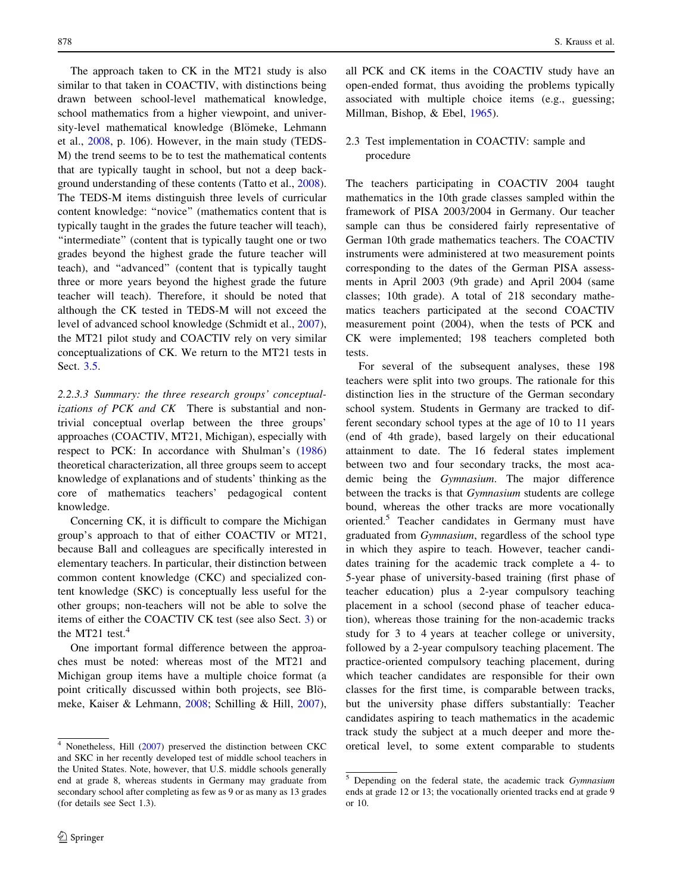<span id="page-5-0"></span>The approach taken to CK in the MT21 study is also similar to that taken in COACTIV, with distinctions being drawn between school-level mathematical knowledge, school mathematics from a higher viewpoint, and university-level mathematical knowledge (Blömeke, Lehmann et al., [2008,](#page-17-0) p. 106). However, in the main study (TEDS-M) the trend seems to be to test the mathematical contents that are typically taught in school, but not a deep background understanding of these contents (Tatto et al., [2008](#page-19-0)). The TEDS-M items distinguish three levels of curricular content knowledge: ''novice'' (mathematics content that is typically taught in the grades the future teacher will teach), "intermediate" (content that is typically taught one or two grades beyond the highest grade the future teacher will teach), and ''advanced'' (content that is typically taught three or more years beyond the highest grade the future teacher will teach). Therefore, it should be noted that although the CK tested in TEDS-M will not exceed the level of advanced school knowledge (Schmidt et al., [2007](#page-19-0)), the MT21 pilot study and COACTIV rely on very similar conceptualizations of CK. We return to the MT21 tests in Sect. [3.5.](#page-14-0)

2.2.3.3 Summary: the three research groups' conceptualizations of PCK and CK There is substantial and nontrivial conceptual overlap between the three groups' approaches (COACTIV, MT21, Michigan), especially with respect to PCK: In accordance with Shulman's ([1986\)](#page-19-0) theoretical characterization, all three groups seem to accept knowledge of explanations and of students' thinking as the core of mathematics teachers' pedagogical content knowledge.

Concerning CK, it is difficult to compare the Michigan group's approach to that of either COACTIV or MT21, because Ball and colleagues are specifically interested in elementary teachers. In particular, their distinction between common content knowledge (CKC) and specialized content knowledge (SKC) is conceptually less useful for the other groups; non-teachers will not be able to solve the items of either the COACTIV CK test (see also Sect. [3\)](#page-1-0) or the MT21 test. $4$ 

One important formal difference between the approaches must be noted: whereas most of the MT21 and Michigan group items have a multiple choice format (a point critically discussed within both projects, see Blömeke, Kaiser & Lehmann, [2008;](#page-17-0) Schilling & Hill, [2007](#page-19-0)),

all PCK and CK items in the COACTIV study have an open-ended format, thus avoiding the problems typically associated with multiple choice items (e.g., guessing; Millman, Bishop, & Ebel, [1965\)](#page-18-0).

# 2.3 Test implementation in COACTIV: sample and procedure

The teachers participating in COACTIV 2004 taught mathematics in the 10th grade classes sampled within the framework of PISA 2003/2004 in Germany. Our teacher sample can thus be considered fairly representative of German 10th grade mathematics teachers. The COACTIV instruments were administered at two measurement points corresponding to the dates of the German PISA assessments in April 2003 (9th grade) and April 2004 (same classes; 10th grade). A total of 218 secondary mathematics teachers participated at the second COACTIV measurement point (2004), when the tests of PCK and CK were implemented; 198 teachers completed both tests.

For several of the subsequent analyses, these 198 teachers were split into two groups. The rationale for this distinction lies in the structure of the German secondary school system. Students in Germany are tracked to different secondary school types at the age of 10 to 11 years (end of 4th grade), based largely on their educational attainment to date. The 16 federal states implement between two and four secondary tracks, the most academic being the Gymnasium. The major difference between the tracks is that Gymnasium students are college bound, whereas the other tracks are more vocationally oriented.<sup>5</sup> Teacher candidates in Germany must have graduated from Gymnasium, regardless of the school type in which they aspire to teach. However, teacher candidates training for the academic track complete a 4- to 5-year phase of university-based training (first phase of teacher education) plus a 2-year compulsory teaching placement in a school (second phase of teacher education), whereas those training for the non-academic tracks study for 3 to 4 years at teacher college or university, followed by a 2-year compulsory teaching placement. The practice-oriented compulsory teaching placement, during which teacher candidates are responsible for their own classes for the first time, is comparable between tracks, but the university phase differs substantially: Teacher candidates aspiring to teach mathematics in the academic track study the subject at a much deeper and more the-<sup>4</sup> Nonetheless, Hill ([2007\)](#page-17-0) preserved the distinction between CKC oretical level, to some extent comparable to students

and SKC in her recently developed test of middle school teachers in the United States. Note, however, that U.S. middle schools generally end at grade 8, whereas students in Germany may graduate from secondary school after completing as few as 9 or as many as 13 grades (for details see Sect 1.3).

<sup>&</sup>lt;sup>5</sup> Depending on the federal state, the academic track Gymnasium ends at grade 12 or 13; the vocationally oriented tracks end at grade 9 or 10.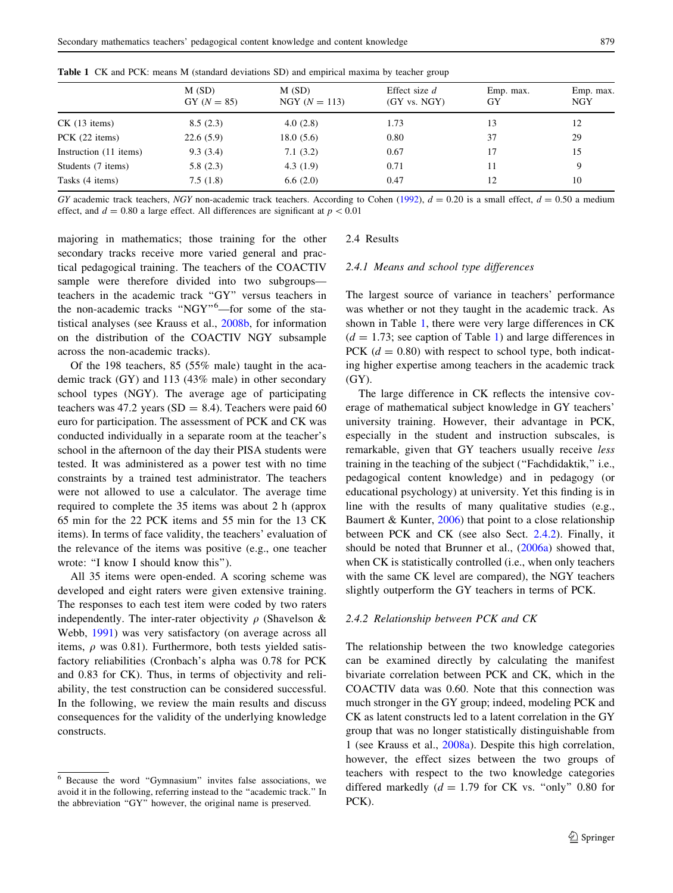|                        | M(SD)<br>$GY (N = 85)$ | M(SD)<br>NGY $(N = 113)$ | Effect size $d$<br>$(GY \text{ vs. } NGY)$ | Emp. max.<br>GY | Emp. max.<br>NGY |
|------------------------|------------------------|--------------------------|--------------------------------------------|-----------------|------------------|
| $CK$ (13 items)        | 8.5(2.3)               | 4.0(2.8)                 | 1.73                                       | 13              | 12               |
| $PCK$ (22 items)       | 22.6(5.9)              | 18.0(5.6)                | 0.80                                       | 37              | 29               |
| Instruction (11 items) | 9.3(3.4)               | 7.1(3.2)                 | 0.67                                       | 17              | 15               |
| Students (7 items)     | 5.8(2.3)               | 4.3(1.9)                 | 0.71                                       | 11              | 9                |
| Tasks (4 items)        | 7.5(1.8)               | 6.6(2.0)                 | 0.47                                       | 12              | 10               |

<span id="page-6-0"></span>Table 1 CK and PCK: means M (standard deviations SD) and empirical maxima by teacher group

GY academic track teachers, NGY non-academic track teachers. According to Cohen ([1992\)](#page-17-0),  $d = 0.20$  is a small effect,  $d = 0.50$  a medium effect, and  $d = 0.80$  a large effect. All differences are significant at  $p < 0.01$ 

majoring in mathematics; those training for the other secondary tracks receive more varied general and practical pedagogical training. The teachers of the COACTIV sample were therefore divided into two subgroups teachers in the academic track ''GY'' versus teachers in the non-academic tracks "NGY"<sup>6</sup>-for some of the statistical analyses (see Krauss et al., [2008b,](#page-18-0) for information on the distribution of the COACTIV NGY subsample across the non-academic tracks).

Of the 198 teachers, 85 (55% male) taught in the academic track (GY) and 113 (43% male) in other secondary school types (NGY). The average age of participating teachers was 47.2 years (SD = 8.4). Teachers were paid 60 euro for participation. The assessment of PCK and CK was conducted individually in a separate room at the teacher's school in the afternoon of the day their PISA students were tested. It was administered as a power test with no time constraints by a trained test administrator. The teachers were not allowed to use a calculator. The average time required to complete the 35 items was about 2 h (approx 65 min for the 22 PCK items and 55 min for the 13 CK items). In terms of face validity, the teachers' evaluation of the relevance of the items was positive (e.g., one teacher wrote: ''I know I should know this'').

All 35 items were open-ended. A scoring scheme was developed and eight raters were given extensive training. The responses to each test item were coded by two raters independently. The inter-rater objectivity  $\rho$  (Shavelson & Webb, [1991](#page-19-0)) was very satisfactory (on average across all items,  $\rho$  was 0.81). Furthermore, both tests yielded satisfactory reliabilities (Cronbach's alpha was 0.78 for PCK and 0.83 for CK). Thus, in terms of objectivity and reliability, the test construction can be considered successful. In the following, we review the main results and discuss consequences for the validity of the underlying knowledge constructs.

### 2.4 Results

### 2.4.1 Means and school type differences

The largest source of variance in teachers' performance was whether or not they taught in the academic track. As shown in Table 1, there were very large differences in CK  $(d = 1.73;$  see caption of Table 1) and large differences in PCK  $(d = 0.80)$  with respect to school type, both indicating higher expertise among teachers in the academic track (GY).

The large difference in CK reflects the intensive coverage of mathematical subject knowledge in GY teachers' university training. However, their advantage in PCK, especially in the student and instruction subscales, is remarkable, given that GY teachers usually receive less training in the teaching of the subject (''Fachdidaktik,'' i.e., pedagogical content knowledge) and in pedagogy (or educational psychology) at university. Yet this finding is in line with the results of many qualitative studies (e.g., Baumert & Kunter, [2006\)](#page-17-0) that point to a close relationship between PCK and CK (see also Sect. 2.4.2). Finally, it should be noted that Brunner et al., [\(2006a\)](#page-17-0) showed that, when CK is statistically controlled (i.e., when only teachers with the same CK level are compared), the NGY teachers slightly outperform the GY teachers in terms of PCK.

#### 2.4.2 Relationship between PCK and CK

The relationship between the two knowledge categories can be examined directly by calculating the manifest bivariate correlation between PCK and CK, which in the COACTIV data was 0.60. Note that this connection was much stronger in the GY group; indeed, modeling PCK and CK as latent constructs led to a latent correlation in the GY group that was no longer statistically distinguishable from 1 (see Krauss et al., [2008a](#page-18-0)). Despite this high correlation, however, the effect sizes between the two groups of teachers with respect to the two knowledge categories differed markedly  $(d = 1.79$  for CK vs. "only" 0.80 for PCK).

<sup>6</sup> Because the word ''Gymnasium'' invites false associations, we avoid it in the following, referring instead to the ''academic track.'' In the abbreviation "GY" however, the original name is preserved.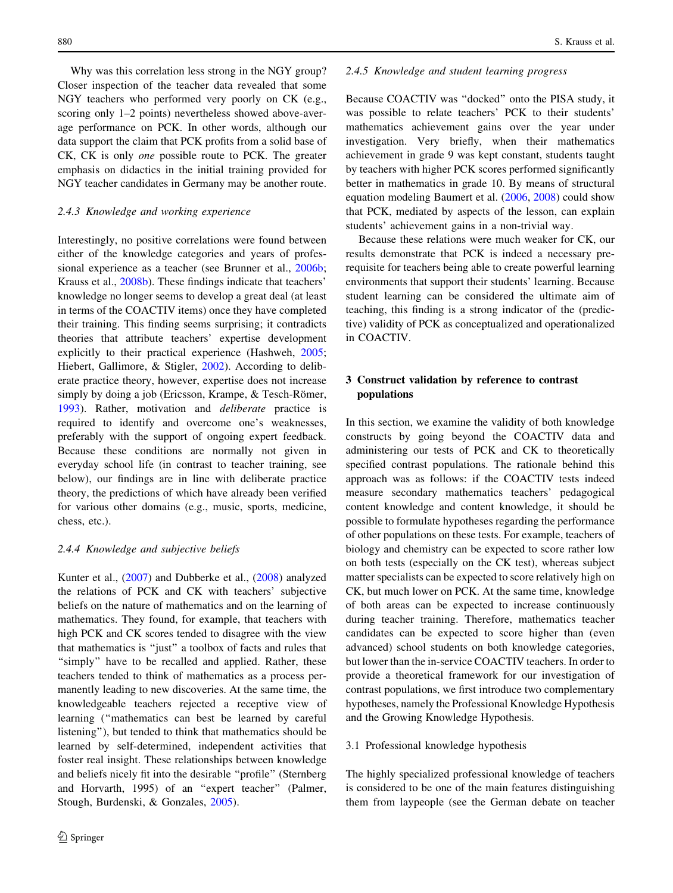<span id="page-7-0"></span>Why was this correlation less strong in the NGY group? Closer inspection of the teacher data revealed that some NGY teachers who performed very poorly on CK (e.g., scoring only 1–2 points) nevertheless showed above-average performance on PCK. In other words, although our data support the claim that PCK profits from a solid base of CK, CK is only one possible route to PCK. The greater emphasis on didactics in the initial training provided for NGY teacher candidates in Germany may be another route.

### 2.4.3 Knowledge and working experience

Interestingly, no positive correlations were found between either of the knowledge categories and years of professional experience as a teacher (see Brunner et al., [2006b](#page-17-0); Krauss et al., [2008b](#page-18-0)). These findings indicate that teachers' knowledge no longer seems to develop a great deal (at least in terms of the COACTIV items) once they have completed their training. This finding seems surprising; it contradicts theories that attribute teachers' expertise development explicitly to their practical experience (Hashweh, [2005](#page-17-0); Hiebert, Gallimore, & Stigler, [2002\)](#page-17-0). According to deliberate practice theory, however, expertise does not increase simply by doing a job (Ericsson, Krampe,  $&$  Tesch-Römer, [1993\)](#page-17-0). Rather, motivation and deliberate practice is required to identify and overcome one's weaknesses, preferably with the support of ongoing expert feedback. Because these conditions are normally not given in everyday school life (in contrast to teacher training, see below), our findings are in line with deliberate practice theory, the predictions of which have already been verified for various other domains (e.g., music, sports, medicine, chess, etc.).

#### 2.4.4 Knowledge and subjective beliefs

Kunter et al., [\(2007](#page-18-0)) and Dubberke et al., [\(2008\)](#page-17-0) analyzed the relations of PCK and CK with teachers' subjective beliefs on the nature of mathematics and on the learning of mathematics. They found, for example, that teachers with high PCK and CK scores tended to disagree with the view that mathematics is ''just'' a toolbox of facts and rules that "simply" have to be recalled and applied. Rather, these teachers tended to think of mathematics as a process permanently leading to new discoveries. At the same time, the knowledgeable teachers rejected a receptive view of learning (''mathematics can best be learned by careful listening''), but tended to think that mathematics should be learned by self-determined, independent activities that foster real insight. These relationships between knowledge and beliefs nicely fit into the desirable ''profile'' (Sternberg and Horvarth, 1995) of an ''expert teacher'' (Palmer, Stough, Burdenski, & Gonzales, [2005](#page-18-0)).

#### 2.4.5 Knowledge and student learning progress

Because COACTIV was ''docked'' onto the PISA study, it was possible to relate teachers' PCK to their students' mathematics achievement gains over the year under investigation. Very briefly, when their mathematics achievement in grade 9 was kept constant, students taught by teachers with higher PCK scores performed significantly better in mathematics in grade 10. By means of structural equation modeling Baumert et al. [\(2006](#page-17-0), [2008](#page-17-0)) could show that PCK, mediated by aspects of the lesson, can explain students' achievement gains in a non-trivial way.

Because these relations were much weaker for CK, our results demonstrate that PCK is indeed a necessary prerequisite for teachers being able to create powerful learning environments that support their students' learning. Because student learning can be considered the ultimate aim of teaching, this finding is a strong indicator of the (predictive) validity of PCK as conceptualized and operationalized in COACTIV.

# 3 Construct validation by reference to contrast populations

In this section, we examine the validity of both knowledge constructs by going beyond the COACTIV data and administering our tests of PCK and CK to theoretically specified contrast populations. The rationale behind this approach was as follows: if the COACTIV tests indeed measure secondary mathematics teachers' pedagogical content knowledge and content knowledge, it should be possible to formulate hypotheses regarding the performance of other populations on these tests. For example, teachers of biology and chemistry can be expected to score rather low on both tests (especially on the CK test), whereas subject matter specialists can be expected to score relatively high on CK, but much lower on PCK. At the same time, knowledge of both areas can be expected to increase continuously during teacher training. Therefore, mathematics teacher candidates can be expected to score higher than (even advanced) school students on both knowledge categories, but lower than the in-service COACTIV teachers. In order to provide a theoretical framework for our investigation of contrast populations, we first introduce two complementary hypotheses, namely the Professional Knowledge Hypothesis and the Growing Knowledge Hypothesis.

#### 3.1 Professional knowledge hypothesis

The highly specialized professional knowledge of teachers is considered to be one of the main features distinguishing them from laypeople (see the German debate on teacher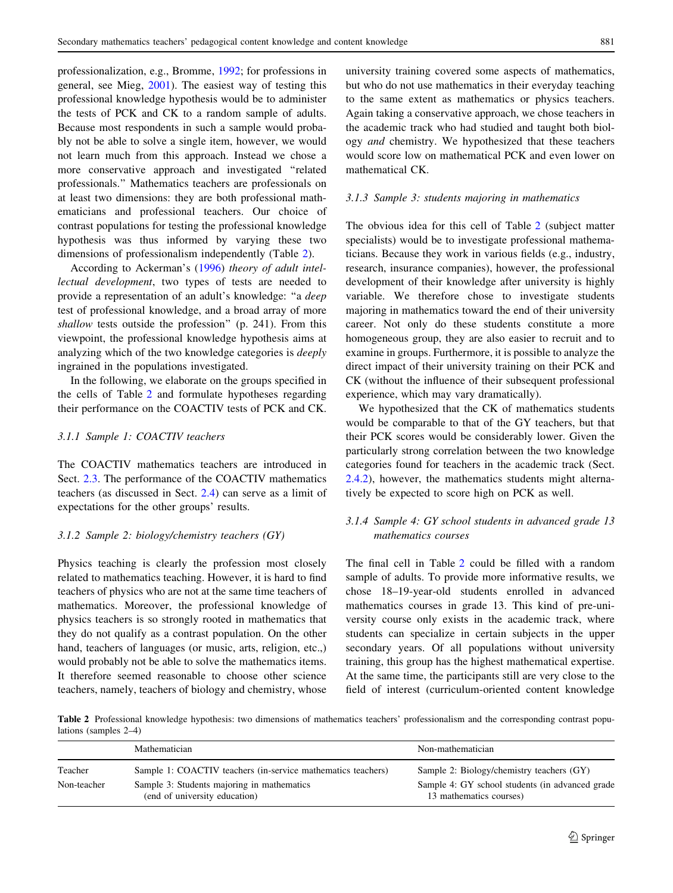<span id="page-8-0"></span>professionalization, e.g., Bromme, [1992;](#page-17-0) for professions in general, see Mieg, [2001](#page-18-0)). The easiest way of testing this professional knowledge hypothesis would be to administer the tests of PCK and CK to a random sample of adults. Because most respondents in such a sample would probably not be able to solve a single item, however, we would not learn much from this approach. Instead we chose a more conservative approach and investigated ''related professionals.'' Mathematics teachers are professionals on at least two dimensions: they are both professional mathematicians and professional teachers. Our choice of contrast populations for testing the professional knowledge hypothesis was thus informed by varying these two dimensions of professionalism independently (Table 2).

According to Ackerman's ([1996\)](#page-17-0) theory of adult intellectual development, two types of tests are needed to provide a representation of an adult's knowledge: ''a deep test of professional knowledge, and a broad array of more shallow tests outside the profession" (p. 241). From this viewpoint, the professional knowledge hypothesis aims at analyzing which of the two knowledge categories is deeply ingrained in the populations investigated.

In the following, we elaborate on the groups specified in the cells of Table 2 and formulate hypotheses regarding their performance on the COACTIV tests of PCK and CK.

### 3.1.1 Sample 1: COACTIV teachers

The COACTIV mathematics teachers are introduced in Sect. [2.3](#page-5-0). The performance of the COACTIV mathematics teachers (as discussed in Sect. [2.4\)](#page-6-0) can serve as a limit of expectations for the other groups' results.

### 3.1.2 Sample 2: biology/chemistry teachers (GY)

Physics teaching is clearly the profession most closely related to mathematics teaching. However, it is hard to find teachers of physics who are not at the same time teachers of mathematics. Moreover, the professional knowledge of physics teachers is so strongly rooted in mathematics that they do not qualify as a contrast population. On the other hand, teachers of languages (or music, arts, religion, etc.,) would probably not be able to solve the mathematics items. It therefore seemed reasonable to choose other science teachers, namely, teachers of biology and chemistry, whose university training covered some aspects of mathematics, but who do not use mathematics in their everyday teaching to the same extent as mathematics or physics teachers. Again taking a conservative approach, we chose teachers in the academic track who had studied and taught both biology and chemistry. We hypothesized that these teachers would score low on mathematical PCK and even lower on mathematical CK.

### 3.1.3 Sample 3: students majoring in mathematics

The obvious idea for this cell of Table 2 (subject matter specialists) would be to investigate professional mathematicians. Because they work in various fields (e.g., industry, research, insurance companies), however, the professional development of their knowledge after university is highly variable. We therefore chose to investigate students majoring in mathematics toward the end of their university career. Not only do these students constitute a more homogeneous group, they are also easier to recruit and to examine in groups. Furthermore, it is possible to analyze the direct impact of their university training on their PCK and CK (without the influence of their subsequent professional experience, which may vary dramatically).

We hypothesized that the CK of mathematics students would be comparable to that of the GY teachers, but that their PCK scores would be considerably lower. Given the particularly strong correlation between the two knowledge categories found for teachers in the academic track (Sect. [2.4.2](#page-6-0)), however, the mathematics students might alternatively be expected to score high on PCK as well.

# 3.1.4 Sample 4: GY school students in advanced grade 13 mathematics courses

The final cell in Table 2 could be filled with a random sample of adults. To provide more informative results, we chose 18–19-year-old students enrolled in advanced mathematics courses in grade 13. This kind of pre-university course only exists in the academic track, where students can specialize in certain subjects in the upper secondary years. Of all populations without university training, this group has the highest mathematical expertise. At the same time, the participants still are very close to the field of interest (curriculum-oriented content knowledge

Table 2 Professional knowledge hypothesis: two dimensions of mathematics teachers' professionalism and the corresponding contrast populations (samples 2–4)

|             | Mathematician                                                               | Non-mathematician                                                          |
|-------------|-----------------------------------------------------------------------------|----------------------------------------------------------------------------|
| Teacher     | Sample 1: COACTIV teachers (in-service mathematics teachers)                | Sample 2: Biology/chemistry teachers (GY)                                  |
| Non-teacher | Sample 3: Students majoring in mathematics<br>(end of university education) | Sample 4: GY school students (in advanced grade<br>13 mathematics courses) |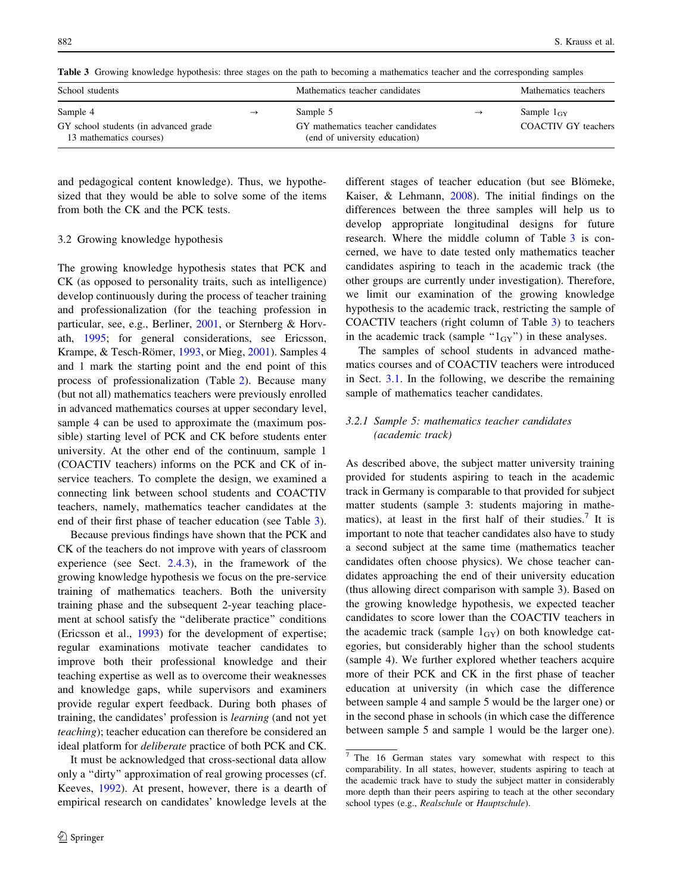Table 3 Growing knowledge hypothesis: three stages on the path to becoming a mathematics teacher and the corresponding samples

| School students                                                               |               | Mathematics teacher candidates                                                 |               | Mathematics teachers                                 |
|-------------------------------------------------------------------------------|---------------|--------------------------------------------------------------------------------|---------------|------------------------------------------------------|
| Sample 4<br>GY school students (in advanced grade)<br>13 mathematics courses) | $\rightarrow$ | Sample 5<br>GY mathematics teacher candidates<br>(end of university education) | $\rightarrow$ | Sample $1_{\text{GY}}$<br><b>COACTIV GY teachers</b> |

and pedagogical content knowledge). Thus, we hypothesized that they would be able to solve some of the items from both the CK and the PCK tests.

### 3.2 Growing knowledge hypothesis

The growing knowledge hypothesis states that PCK and CK (as opposed to personality traits, such as intelligence) develop continuously during the process of teacher training and professionalization (for the teaching profession in particular, see, e.g., Berliner, [2001,](#page-17-0) or Sternberg & Horvath, [1995;](#page-19-0) for general considerations, see Ericsson, Krampe, & Tesch-Römer, [1993,](#page-17-0) or Mieg, [2001\)](#page-18-0). Samples 4 and 1 mark the starting point and the end point of this process of professionalization (Table [2\)](#page-8-0). Because many (but not all) mathematics teachers were previously enrolled in advanced mathematics courses at upper secondary level, sample 4 can be used to approximate the (maximum possible) starting level of PCK and CK before students enter university. At the other end of the continuum, sample 1 (COACTIV teachers) informs on the PCK and CK of inservice teachers. To complete the design, we examined a connecting link between school students and COACTIV teachers, namely, mathematics teacher candidates at the end of their first phase of teacher education (see Table 3).

Because previous findings have shown that the PCK and CK of the teachers do not improve with years of classroom experience (see Sect. [2.4.3](#page-7-0)), in the framework of the growing knowledge hypothesis we focus on the pre-service training of mathematics teachers. Both the university training phase and the subsequent 2-year teaching placement at school satisfy the ''deliberate practice'' conditions (Ericsson et al., [1993](#page-17-0)) for the development of expertise; regular examinations motivate teacher candidates to improve both their professional knowledge and their teaching expertise as well as to overcome their weaknesses and knowledge gaps, while supervisors and examiners provide regular expert feedback. During both phases of training, the candidates' profession is learning (and not yet teaching); teacher education can therefore be considered an ideal platform for deliberate practice of both PCK and CK.

It must be acknowledged that cross-sectional data allow only a ''dirty'' approximation of real growing processes (cf. Keeves, [1992](#page-18-0)). At present, however, there is a dearth of empirical research on candidates' knowledge levels at the different stages of teacher education (but see Blömeke, Kaiser, & Lehmann, [2008\)](#page-17-0). The initial findings on the differences between the three samples will help us to develop appropriate longitudinal designs for future research. Where the middle column of Table 3 is concerned, we have to date tested only mathematics teacher candidates aspiring to teach in the academic track (the other groups are currently under investigation). Therefore, we limit our examination of the growing knowledge hypothesis to the academic track, restricting the sample of COACTIV teachers (right column of Table 3) to teachers in the academic track (sample  $"1_{GY}"$ ) in these analyses.

The samples of school students in advanced mathematics courses and of COACTIV teachers were introduced in Sect. [3.1](#page-2-0). In the following, we describe the remaining sample of mathematics teacher candidates.

# 3.2.1 Sample 5: mathematics teacher candidates (academic track)

As described above, the subject matter university training provided for students aspiring to teach in the academic track in Germany is comparable to that provided for subject matter students (sample 3: students majoring in mathematics), at least in the first half of their studies.<sup>7</sup> It is important to note that teacher candidates also have to study a second subject at the same time (mathematics teacher candidates often choose physics). We chose teacher candidates approaching the end of their university education (thus allowing direct comparison with sample 3). Based on the growing knowledge hypothesis, we expected teacher candidates to score lower than the COACTIV teachers in the academic track (sample  $1_{\text{GY}}$ ) on both knowledge categories, but considerably higher than the school students (sample 4). We further explored whether teachers acquire more of their PCK and CK in the first phase of teacher education at university (in which case the difference between sample 4 and sample 5 would be the larger one) or in the second phase in schools (in which case the difference between sample 5 and sample 1 would be the larger one).

 $\frac{1}{7}$  The 16 German states vary somewhat with respect to this comparability. In all states, however, students aspiring to teach at the academic track have to study the subject matter in considerably more depth than their peers aspiring to teach at the other secondary school types (e.g., Realschule or Hauptschule).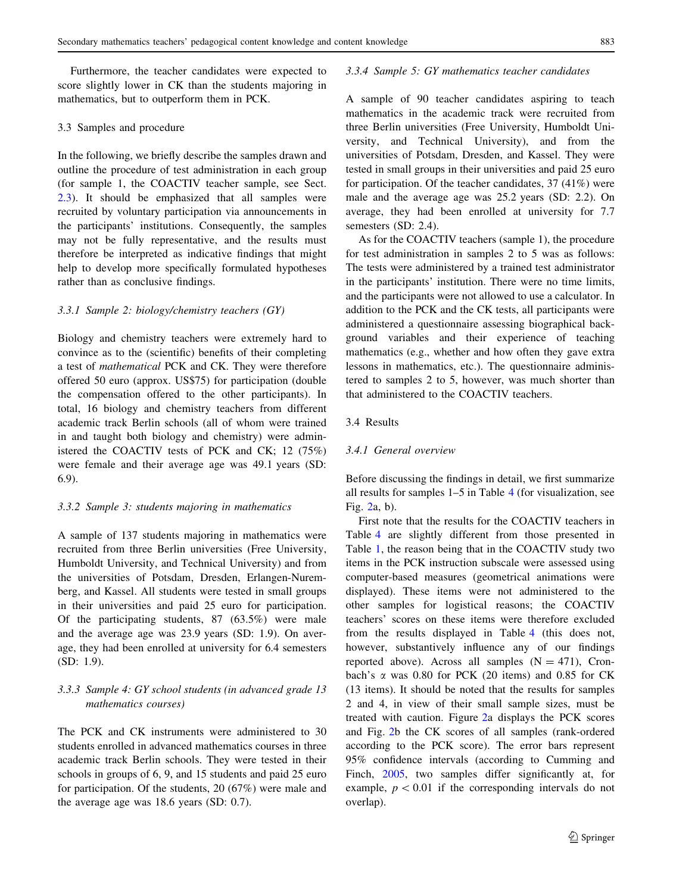<span id="page-10-0"></span>Furthermore, the teacher candidates were expected to score slightly lower in CK than the students majoring in mathematics, but to outperform them in PCK.

# 3.3 Samples and procedure

In the following, we briefly describe the samples drawn and outline the procedure of test administration in each group (for sample 1, the COACTIV teacher sample, see Sect. [2.3](#page-5-0)). It should be emphasized that all samples were recruited by voluntary participation via announcements in the participants' institutions. Consequently, the samples may not be fully representative, and the results must therefore be interpreted as indicative findings that might help to develop more specifically formulated hypotheses rather than as conclusive findings.

### 3.3.1 Sample 2: biology/chemistry teachers (GY)

Biology and chemistry teachers were extremely hard to convince as to the (scientific) benefits of their completing a test of mathematical PCK and CK. They were therefore offered 50 euro (approx. US\$75) for participation (double the compensation offered to the other participants). In total, 16 biology and chemistry teachers from different academic track Berlin schools (all of whom were trained in and taught both biology and chemistry) were administered the COACTIV tests of PCK and CK; 12 (75%) were female and their average age was 49.1 years (SD: 6.9).

# 3.3.2 Sample 3: students majoring in mathematics

A sample of 137 students majoring in mathematics were recruited from three Berlin universities (Free University, Humboldt University, and Technical University) and from the universities of Potsdam, Dresden, Erlangen-Nuremberg, and Kassel. All students were tested in small groups in their universities and paid 25 euro for participation. Of the participating students, 87 (63.5%) were male and the average age was 23.9 years (SD: 1.9). On average, they had been enrolled at university for 6.4 semesters (SD: 1.9).

# 3.3.3 Sample 4: GY school students (in advanced grade 13 mathematics courses)

The PCK and CK instruments were administered to 30 students enrolled in advanced mathematics courses in three academic track Berlin schools. They were tested in their schools in groups of 6, 9, and 15 students and paid 25 euro for participation. Of the students, 20 (67%) were male and the average age was 18.6 years (SD: 0.7).

#### 3.3.4 Sample 5: GY mathematics teacher candidates

A sample of 90 teacher candidates aspiring to teach mathematics in the academic track were recruited from three Berlin universities (Free University, Humboldt University, and Technical University), and from the universities of Potsdam, Dresden, and Kassel. They were tested in small groups in their universities and paid 25 euro for participation. Of the teacher candidates, 37 (41%) were male and the average age was 25.2 years (SD: 2.2). On average, they had been enrolled at university for 7.7 semesters (SD: 2.4).

As for the COACTIV teachers (sample 1), the procedure for test administration in samples 2 to 5 was as follows: The tests were administered by a trained test administrator in the participants' institution. There were no time limits, and the participants were not allowed to use a calculator. In addition to the PCK and the CK tests, all participants were administered a questionnaire assessing biographical background variables and their experience of teaching mathematics (e.g., whether and how often they gave extra lessons in mathematics, etc.). The questionnaire administered to samples 2 to 5, however, was much shorter than that administered to the COACTIV teachers.

### 3.4 Results

### 3.4.1 General overview

Before discussing the findings in detail, we first summarize all results for samples 1–5 in Table [4](#page-11-0) (for visualization, see Fig. [2](#page-11-0)a, b).

First note that the results for the COACTIV teachers in Table [4](#page-11-0) are slightly different from those presented in Table [1](#page-6-0), the reason being that in the COACTIV study two items in the PCK instruction subscale were assessed using computer-based measures (geometrical animations were displayed). These items were not administered to the other samples for logistical reasons; the COACTIV teachers' scores on these items were therefore excluded from the results displayed in Table [4](#page-11-0) (this does not, however, substantively influence any of our findings reported above). Across all samples  $(N = 471)$ , Cronbach's  $\alpha$  was 0.80 for PCK (20 items) and 0.85 for CK (13 items). It should be noted that the results for samples 2 and 4, in view of their small sample sizes, must be treated with caution. Figure [2a](#page-11-0) displays the PCK scores and Fig. [2](#page-11-0)b the CK scores of all samples (rank-ordered according to the PCK score). The error bars represent 95% confidence intervals (according to Cumming and Finch, [2005,](#page-17-0) two samples differ significantly at, for example,  $p < 0.01$  if the corresponding intervals do not overlap).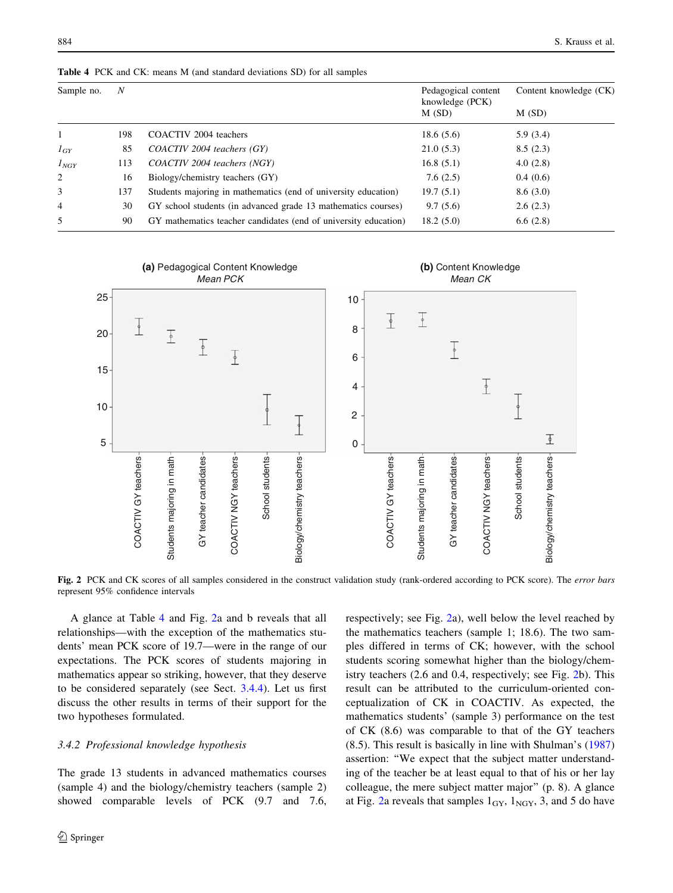| Sample no.     | N   |                                                                 | Pedagogical content<br>knowledge (PCK) | Content knowledge (CK) |  |
|----------------|-----|-----------------------------------------------------------------|----------------------------------------|------------------------|--|
|                |     |                                                                 | M(SD)                                  | M(SD)                  |  |
|                | 198 | COACTIV 2004 teachers                                           | 18.6(5.6)                              | 5.9(3.4)               |  |
| $I_{GY}$       | 85  | COACTIV 2004 teachers (GY)                                      | 21.0(5.3)                              | 8.5(2.3)               |  |
| $I_{NGY}$      | 113 | COACTIV 2004 teachers (NGY)                                     | 16.8(5.1)                              | 4.0(2.8)               |  |
| 2              | 16  | Biology/chemistry teachers (GY)                                 | 7.6(2.5)                               | 0.4(0.6)               |  |
| 3              | 137 | Students majoring in mathematics (end of university education)  | 19.7(5.1)                              | 8.6(3.0)               |  |
| $\overline{4}$ | 30  | GY school students (in advanced grade 13 mathematics courses)   | 9.7(5.6)                               | 2.6(2.3)               |  |
| 5              | 90  | GY mathematics teacher candidates (end of university education) | 18.2(5.0)                              | 6.6(2.8)               |  |

<span id="page-11-0"></span>Table 4 PCK and CK: means M (and standard deviations SD) for all samples



Fig. 2 PCK and CK scores of all samples considered in the construct validation study (rank-ordered according to PCK score). The error bars represent 95% confidence intervals

A glance at Table 4 and Fig. 2a and b reveals that all relationships—with the exception of the mathematics students' mean PCK score of 19.7—were in the range of our expectations. The PCK scores of students majoring in mathematics appear so striking, however, that they deserve to be considered separately (see Sect. [3.4.4](#page-12-0)). Let us first discuss the other results in terms of their support for the two hypotheses formulated.

# 3.4.2 Professional knowledge hypothesis

The grade 13 students in advanced mathematics courses (sample 4) and the biology/chemistry teachers (sample 2) showed comparable levels of PCK (9.7 and 7.6,

respectively; see Fig. 2a), well below the level reached by the mathematics teachers (sample 1; 18.6). The two samples differed in terms of CK; however, with the school students scoring somewhat higher than the biology/chemistry teachers (2.6 and 0.4, respectively; see Fig. 2b). This result can be attributed to the curriculum-oriented conceptualization of CK in COACTIV. As expected, the mathematics students' (sample 3) performance on the test of CK (8.6) was comparable to that of the GY teachers (8.5). This result is basically in line with Shulman's ([1987\)](#page-19-0) assertion: ''We expect that the subject matter understanding of the teacher be at least equal to that of his or her lay colleague, the mere subject matter major'' (p. 8). A glance at Fig. 2a reveals that samples  $1_{\text{GY}}$ ,  $1_{\text{NGY}}$ , 3, and 5 do have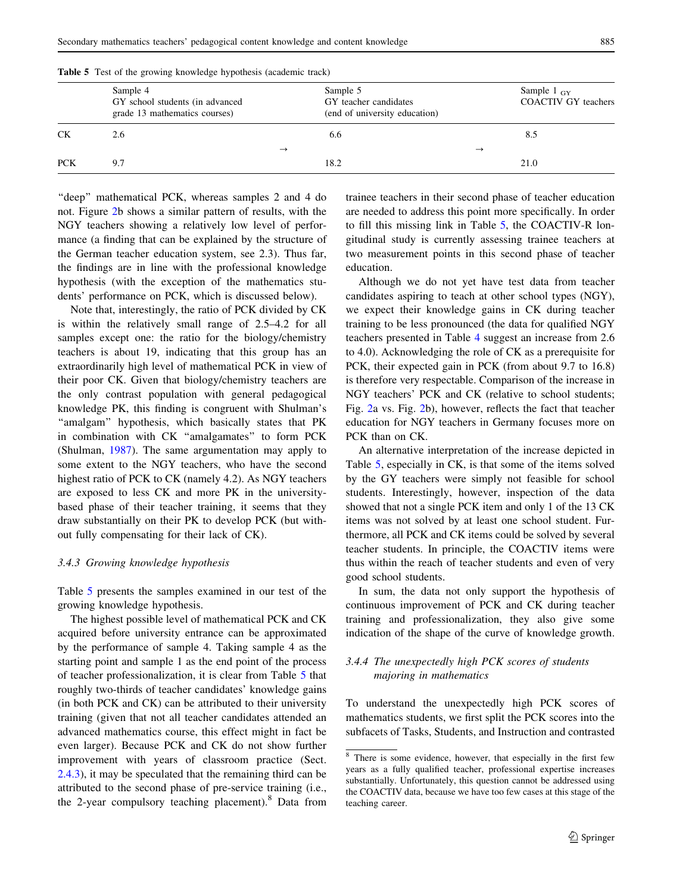|            | Sample 4<br>GY school students (in advanced<br>grade 13 mathematics courses) | Sample 5<br>GY teacher candidates<br>(end of university education) | Sample 1 $_{\text{GY}}$<br><b>COACTIV GY teachers</b> |
|------------|------------------------------------------------------------------------------|--------------------------------------------------------------------|-------------------------------------------------------|
| СK         | 2.6                                                                          | 6.6                                                                | 8.5                                                   |
|            |                                                                              | $\rightarrow$                                                      | $\rightarrow$                                         |
| <b>PCK</b> | 9.7                                                                          | 18.2                                                               | 21.0                                                  |

<span id="page-12-0"></span>Table 5 Test of the growing knowledge hypothesis (academic track)

"deep" mathematical PCK, whereas samples 2 and 4 do not. Figure [2](#page-11-0)b shows a similar pattern of results, with the NGY teachers showing a relatively low level of performance (a finding that can be explained by the structure of the German teacher education system, see 2.3). Thus far, the findings are in line with the professional knowledge hypothesis (with the exception of the mathematics students' performance on PCK, which is discussed below).

Note that, interestingly, the ratio of PCK divided by CK is within the relatively small range of 2.5–4.2 for all samples except one: the ratio for the biology/chemistry teachers is about 19, indicating that this group has an extraordinarily high level of mathematical PCK in view of their poor CK. Given that biology/chemistry teachers are the only contrast population with general pedagogical knowledge PK, this finding is congruent with Shulman's "amalgam" hypothesis, which basically states that PK in combination with CK ''amalgamates'' to form PCK (Shulman, [1987\)](#page-19-0). The same argumentation may apply to some extent to the NGY teachers, who have the second highest ratio of PCK to CK (namely 4.2). As NGY teachers are exposed to less CK and more PK in the universitybased phase of their teacher training, it seems that they draw substantially on their PK to develop PCK (but without fully compensating for their lack of CK).

#### 3.4.3 Growing knowledge hypothesis

Table 5 presents the samples examined in our test of the growing knowledge hypothesis.

The highest possible level of mathematical PCK and CK acquired before university entrance can be approximated by the performance of sample 4. Taking sample 4 as the starting point and sample 1 as the end point of the process of teacher professionalization, it is clear from Table 5 that roughly two-thirds of teacher candidates' knowledge gains (in both PCK and CK) can be attributed to their university training (given that not all teacher candidates attended an advanced mathematics course, this effect might in fact be even larger). Because PCK and CK do not show further improvement with years of classroom practice (Sect. [2.4.3\)](#page-3-0), it may be speculated that the remaining third can be attributed to the second phase of pre-service training (i.e., the 2-year compulsory teaching placement).<sup>8</sup> Data from trainee teachers in their second phase of teacher education are needed to address this point more specifically. In order to fill this missing link in Table 5, the COACTIV-R longitudinal study is currently assessing trainee teachers at two measurement points in this second phase of teacher education.

Although we do not yet have test data from teacher candidates aspiring to teach at other school types (NGY), we expect their knowledge gains in CK during teacher training to be less pronounced (the data for qualified NGY teachers presented in Table [4](#page-11-0) suggest an increase from 2.6 to 4.0). Acknowledging the role of CK as a prerequisite for PCK, their expected gain in PCK (from about 9.7 to 16.8) is therefore very respectable. Comparison of the increase in NGY teachers' PCK and CK (relative to school students; Fig. [2](#page-11-0)a vs. Fig. [2b](#page-11-0)), however, reflects the fact that teacher education for NGY teachers in Germany focuses more on PCK than on CK.

An alternative interpretation of the increase depicted in Table 5, especially in CK, is that some of the items solved by the GY teachers were simply not feasible for school students. Interestingly, however, inspection of the data showed that not a single PCK item and only 1 of the 13 CK items was not solved by at least one school student. Furthermore, all PCK and CK items could be solved by several teacher students. In principle, the COACTIV items were thus within the reach of teacher students and even of very good school students.

In sum, the data not only support the hypothesis of continuous improvement of PCK and CK during teacher training and professionalization, they also give some indication of the shape of the curve of knowledge growth.

# 3.4.4 The unexpectedly high PCK scores of students majoring in mathematics

To understand the unexpectedly high PCK scores of mathematics students, we first split the PCK scores into the subfacets of Tasks, Students, and Instruction and contrasted

 $8 \text{ There is some evidence, however, that especially in the first few}$ years as a fully qualified teacher, professional expertise increases substantially. Unfortunately, this question cannot be addressed using the COACTIV data, because we have too few cases at this stage of the teaching career.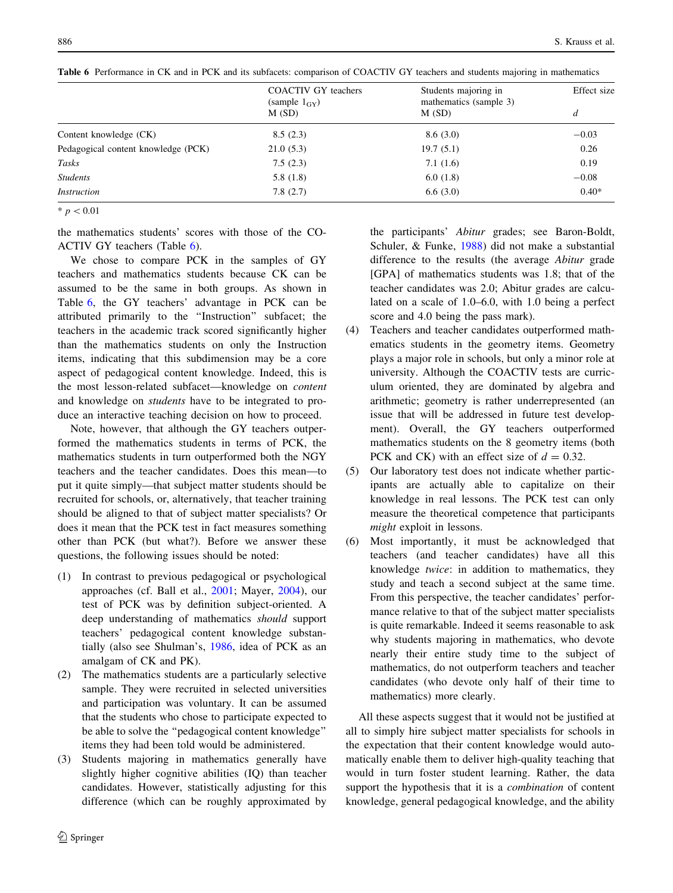|                                     | <b>COACTIV GY teachers</b><br>(sample $1_{\text{GY}}$ ) | Students majoring in<br>mathematics (sample 3) | Effect size |  |
|-------------------------------------|---------------------------------------------------------|------------------------------------------------|-------------|--|
|                                     | M(SD)                                                   | M(SD)                                          | d           |  |
| Content knowledge (CK)              | 8.5(2.3)                                                | 8.6(3.0)                                       | $-0.03$     |  |
| Pedagogical content knowledge (PCK) | 21.0(5.3)                                               | 19.7(5.1)                                      | 0.26        |  |
| Tasks                               | 7.5(2.3)                                                | 7.1(1.6)                                       | 0.19        |  |
| <b>Students</b>                     | 5.8(1.8)                                                | 6.0(1.8)                                       | $-0.08$     |  |
| <i>Instruction</i>                  | 7.8(2.7)                                                | 6.6(3.0)                                       | $0.40*$     |  |

Table 6 Performance in CK and in PCK and its subfacets: comparison of COACTIV GY teachers and students majoring in mathematics

 $* p < 0.01$ 

the mathematics students' scores with those of the CO-ACTIV GY teachers (Table 6).

We chose to compare PCK in the samples of GY teachers and mathematics students because CK can be assumed to be the same in both groups. As shown in Table 6, the GY teachers' advantage in PCK can be attributed primarily to the ''Instruction'' subfacet; the teachers in the academic track scored significantly higher than the mathematics students on only the Instruction items, indicating that this subdimension may be a core aspect of pedagogical content knowledge. Indeed, this is the most lesson-related subfacet—knowledge on content and knowledge on students have to be integrated to produce an interactive teaching decision on how to proceed.

Note, however, that although the GY teachers outperformed the mathematics students in terms of PCK, the mathematics students in turn outperformed both the NGY teachers and the teacher candidates. Does this mean—to put it quite simply—that subject matter students should be recruited for schools, or, alternatively, that teacher training should be aligned to that of subject matter specialists? Or does it mean that the PCK test in fact measures something other than PCK (but what?). Before we answer these questions, the following issues should be noted:

- (1) In contrast to previous pedagogical or psychological approaches (cf. Ball et al., [2001;](#page-17-0) Mayer, [2004](#page-18-0)), our test of PCK was by definition subject-oriented. A deep understanding of mathematics should support teachers' pedagogical content knowledge substantially (also see Shulman's, [1986,](#page-19-0) idea of PCK as an amalgam of CK and PK).
- (2) The mathematics students are a particularly selective sample. They were recruited in selected universities and participation was voluntary. It can be assumed that the students who chose to participate expected to be able to solve the ''pedagogical content knowledge'' items they had been told would be administered.
- (3) Students majoring in mathematics generally have slightly higher cognitive abilities (IQ) than teacher candidates. However, statistically adjusting for this difference (which can be roughly approximated by

the participants' Abitur grades; see Baron-Boldt, Schuler, & Funke, [1988](#page-17-0)) did not make a substantial difference to the results (the average Abitur grade [GPA] of mathematics students was 1.8; that of the teacher candidates was 2.0; Abitur grades are calculated on a scale of 1.0–6.0, with 1.0 being a perfect score and 4.0 being the pass mark).

- (4) Teachers and teacher candidates outperformed mathematics students in the geometry items. Geometry plays a major role in schools, but only a minor role at university. Although the COACTIV tests are curriculum oriented, they are dominated by algebra and arithmetic; geometry is rather underrepresented (an issue that will be addressed in future test development). Overall, the GY teachers outperformed mathematics students on the 8 geometry items (both PCK and CK) with an effect size of  $d = 0.32$ .
- (5) Our laboratory test does not indicate whether participants are actually able to capitalize on their knowledge in real lessons. The PCK test can only measure the theoretical competence that participants might exploit in lessons.
- (6) Most importantly, it must be acknowledged that teachers (and teacher candidates) have all this knowledge twice: in addition to mathematics, they study and teach a second subject at the same time. From this perspective, the teacher candidates' performance relative to that of the subject matter specialists is quite remarkable. Indeed it seems reasonable to ask why students majoring in mathematics, who devote nearly their entire study time to the subject of mathematics, do not outperform teachers and teacher candidates (who devote only half of their time to mathematics) more clearly.

All these aspects suggest that it would not be justified at all to simply hire subject matter specialists for schools in the expectation that their content knowledge would automatically enable them to deliver high-quality teaching that would in turn foster student learning. Rather, the data support the hypothesis that it is a *combination* of content knowledge, general pedagogical knowledge, and the ability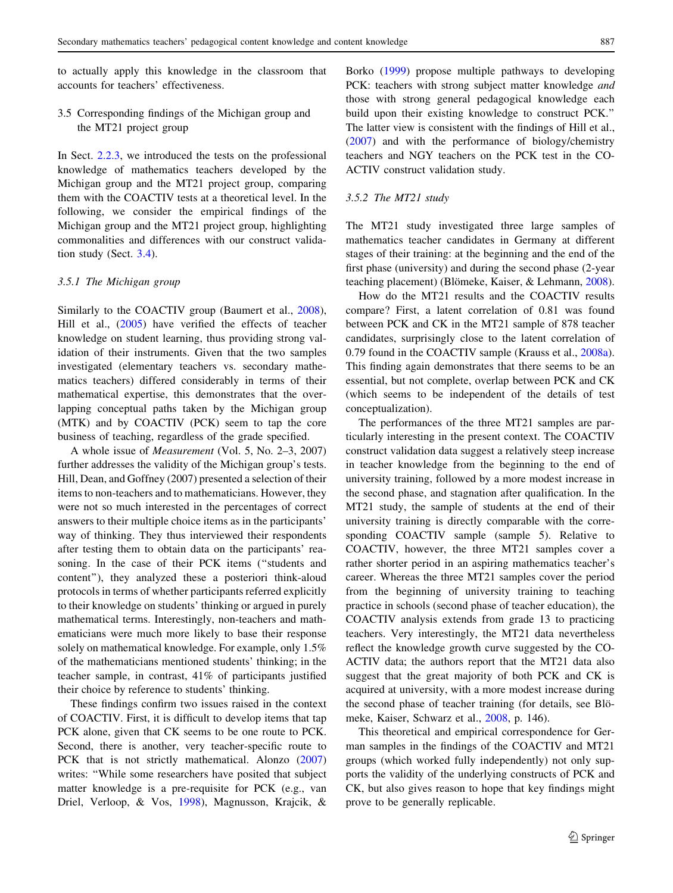<span id="page-14-0"></span>to actually apply this knowledge in the classroom that accounts for teachers' effectiveness.

3.5 Corresponding findings of the Michigan group and the MT21 project group

In Sect. [2.2.3](#page-0-0), we introduced the tests on the professional knowledge of mathematics teachers developed by the Michigan group and the MT21 project group, comparing them with the COACTIV tests at a theoretical level. In the following, we consider the empirical findings of the Michigan group and the MT21 project group, highlighting commonalities and differences with our construct validation study (Sect. [3.4\)](#page-10-0).

# 3.5.1 The Michigan group

Similarly to the COACTIV group (Baumert et al., [2008](#page-17-0)), Hill et al., [\(2005](#page-18-0)) have verified the effects of teacher knowledge on student learning, thus providing strong validation of their instruments. Given that the two samples investigated (elementary teachers vs. secondary mathematics teachers) differed considerably in terms of their mathematical expertise, this demonstrates that the overlapping conceptual paths taken by the Michigan group (MTK) and by COACTIV (PCK) seem to tap the core business of teaching, regardless of the grade specified.

A whole issue of Measurement (Vol. 5, No. 2–3, 2007) further addresses the validity of the Michigan group's tests. Hill, Dean, and Goffney (2007) presented a selection of their items to non-teachers and to mathematicians. However, they were not so much interested in the percentages of correct answers to their multiple choice items as in the participants' way of thinking. They thus interviewed their respondents after testing them to obtain data on the participants' reasoning. In the case of their PCK items (''students and content''), they analyzed these a posteriori think-aloud protocols in terms of whether participants referred explicitly to their knowledge on students' thinking or argued in purely mathematical terms. Interestingly, non-teachers and mathematicians were much more likely to base their response solely on mathematical knowledge. For example, only 1.5% of the mathematicians mentioned students' thinking; in the teacher sample, in contrast, 41% of participants justified their choice by reference to students' thinking.

These findings confirm two issues raised in the context of COACTIV. First, it is difficult to develop items that tap PCK alone, given that CK seems to be one route to PCK. Second, there is another, very teacher-specific route to PCK that is not strictly mathematical. Alonzo ([2007\)](#page-17-0) writes: ''While some researchers have posited that subject matter knowledge is a pre-requisite for PCK (e.g., van Driel, Verloop, & Vos, [1998\)](#page-19-0), Magnusson, Krajcik, & Borko ([1999\)](#page-18-0) propose multiple pathways to developing PCK: teachers with strong subject matter knowledge and those with strong general pedagogical knowledge each build upon their existing knowledge to construct PCK.'' The latter view is consistent with the findings of Hill et al., [\(2007](#page-18-0)) and with the performance of biology/chemistry teachers and NGY teachers on the PCK test in the CO-ACTIV construct validation study.

### 3.5.2 The MT21 study

The MT21 study investigated three large samples of mathematics teacher candidates in Germany at different stages of their training: at the beginning and the end of the first phase (university) and during the second phase (2-year teaching placement) (Blömeke, Kaiser, & Lehmann, [2008](#page-17-0)).

How do the MT21 results and the COACTIV results compare? First, a latent correlation of 0.81 was found between PCK and CK in the MT21 sample of 878 teacher candidates, surprisingly close to the latent correlation of 0.79 found in the COACTIV sample (Krauss et al., [2008a](#page-18-0)). This finding again demonstrates that there seems to be an essential, but not complete, overlap between PCK and CK (which seems to be independent of the details of test conceptualization).

The performances of the three MT21 samples are particularly interesting in the present context. The COACTIV construct validation data suggest a relatively steep increase in teacher knowledge from the beginning to the end of university training, followed by a more modest increase in the second phase, and stagnation after qualification. In the MT21 study, the sample of students at the end of their university training is directly comparable with the corresponding COACTIV sample (sample 5). Relative to COACTIV, however, the three MT21 samples cover a rather shorter period in an aspiring mathematics teacher's career. Whereas the three MT21 samples cover the period from the beginning of university training to teaching practice in schools (second phase of teacher education), the COACTIV analysis extends from grade 13 to practicing teachers. Very interestingly, the MT21 data nevertheless reflect the knowledge growth curve suggested by the CO-ACTIV data; the authors report that the MT21 data also suggest that the great majority of both PCK and CK is acquired at university, with a more modest increase during the second phase of teacher training (for details, see Blömeke, Kaiser, Schwarz et al., [2008,](#page-17-0) p. 146).

This theoretical and empirical correspondence for German samples in the findings of the COACTIV and MT21 groups (which worked fully independently) not only supports the validity of the underlying constructs of PCK and CK, but also gives reason to hope that key findings might prove to be generally replicable.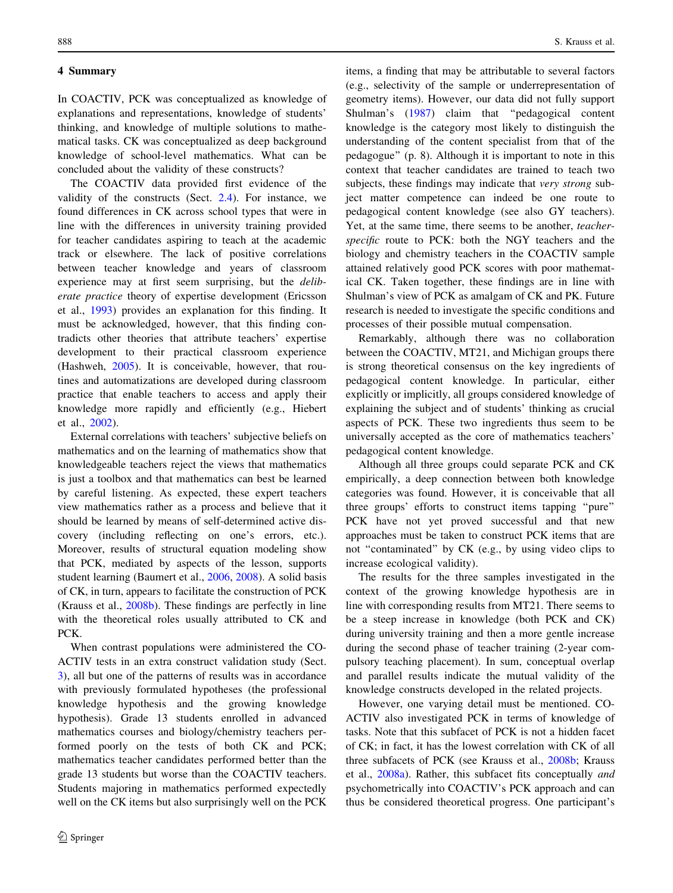# 4 Summary

In COACTIV, PCK was conceptualized as knowledge of explanations and representations, knowledge of students' thinking, and knowledge of multiple solutions to mathematical tasks. CK was conceptualized as deep background knowledge of school-level mathematics. What can be concluded about the validity of these constructs?

The COACTIV data provided first evidence of the validity of the constructs (Sect. [2.4\)](#page-10-0). For instance, we found differences in CK across school types that were in line with the differences in university training provided for teacher candidates aspiring to teach at the academic track or elsewhere. The lack of positive correlations between teacher knowledge and years of classroom experience may at first seem surprising, but the deliberate practice theory of expertise development (Ericsson et al., [1993\)](#page-17-0) provides an explanation for this finding. It must be acknowledged, however, that this finding contradicts other theories that attribute teachers' expertise development to their practical classroom experience (Hashweh, [2005](#page-17-0)). It is conceivable, however, that routines and automatizations are developed during classroom practice that enable teachers to access and apply their knowledge more rapidly and efficiently (e.g., Hiebert et al., [2002](#page-17-0)).

External correlations with teachers' subjective beliefs on mathematics and on the learning of mathematics show that knowledgeable teachers reject the views that mathematics is just a toolbox and that mathematics can best be learned by careful listening. As expected, these expert teachers view mathematics rather as a process and believe that it should be learned by means of self-determined active discovery (including reflecting on one's errors, etc.). Moreover, results of structural equation modeling show that PCK, mediated by aspects of the lesson, supports student learning (Baumert et al., [2006,](#page-17-0) [2008\)](#page-17-0). A solid basis of CK, in turn, appears to facilitate the construction of PCK (Krauss et al., [2008b\)](#page-18-0). These findings are perfectly in line with the theoretical roles usually attributed to CK and PCK.

When contrast populations were administered the CO-ACTIV tests in an extra construct validation study (Sect. [3](#page-7-0)), all but one of the patterns of results was in accordance with previously formulated hypotheses (the professional knowledge hypothesis and the growing knowledge hypothesis). Grade 13 students enrolled in advanced mathematics courses and biology/chemistry teachers performed poorly on the tests of both CK and PCK; mathematics teacher candidates performed better than the grade 13 students but worse than the COACTIV teachers. Students majoring in mathematics performed expectedly well on the CK items but also surprisingly well on the PCK items, a finding that may be attributable to several factors (e.g., selectivity of the sample or underrepresentation of geometry items). However, our data did not fully support Shulman's ([1987\)](#page-19-0) claim that ''pedagogical content knowledge is the category most likely to distinguish the understanding of the content specialist from that of the pedagogue'' (p. 8). Although it is important to note in this context that teacher candidates are trained to teach two subjects, these findings may indicate that very strong subject matter competence can indeed be one route to pedagogical content knowledge (see also GY teachers). Yet, at the same time, there seems to be another, teacherspecific route to PCK: both the NGY teachers and the biology and chemistry teachers in the COACTIV sample attained relatively good PCK scores with poor mathematical CK. Taken together, these findings are in line with Shulman's view of PCK as amalgam of CK and PK. Future research is needed to investigate the specific conditions and processes of their possible mutual compensation.

Remarkably, although there was no collaboration between the COACTIV, MT21, and Michigan groups there is strong theoretical consensus on the key ingredients of pedagogical content knowledge. In particular, either explicitly or implicitly, all groups considered knowledge of explaining the subject and of students' thinking as crucial aspects of PCK. These two ingredients thus seem to be universally accepted as the core of mathematics teachers' pedagogical content knowledge.

Although all three groups could separate PCK and CK empirically, a deep connection between both knowledge categories was found. However, it is conceivable that all three groups' efforts to construct items tapping ''pure'' PCK have not yet proved successful and that new approaches must be taken to construct PCK items that are not ''contaminated'' by CK (e.g., by using video clips to increase ecological validity).

The results for the three samples investigated in the context of the growing knowledge hypothesis are in line with corresponding results from MT21. There seems to be a steep increase in knowledge (both PCK and CK) during university training and then a more gentle increase during the second phase of teacher training (2-year compulsory teaching placement). In sum, conceptual overlap and parallel results indicate the mutual validity of the knowledge constructs developed in the related projects.

However, one varying detail must be mentioned. CO-ACTIV also investigated PCK in terms of knowledge of tasks. Note that this subfacet of PCK is not a hidden facet of CK; in fact, it has the lowest correlation with CK of all three subfacets of PCK (see Krauss et al., [2008b;](#page-18-0) Krauss et al., [2008a](#page-18-0)). Rather, this subfacet fits conceptually and psychometrically into COACTIV's PCK approach and can thus be considered theoretical progress. One participant's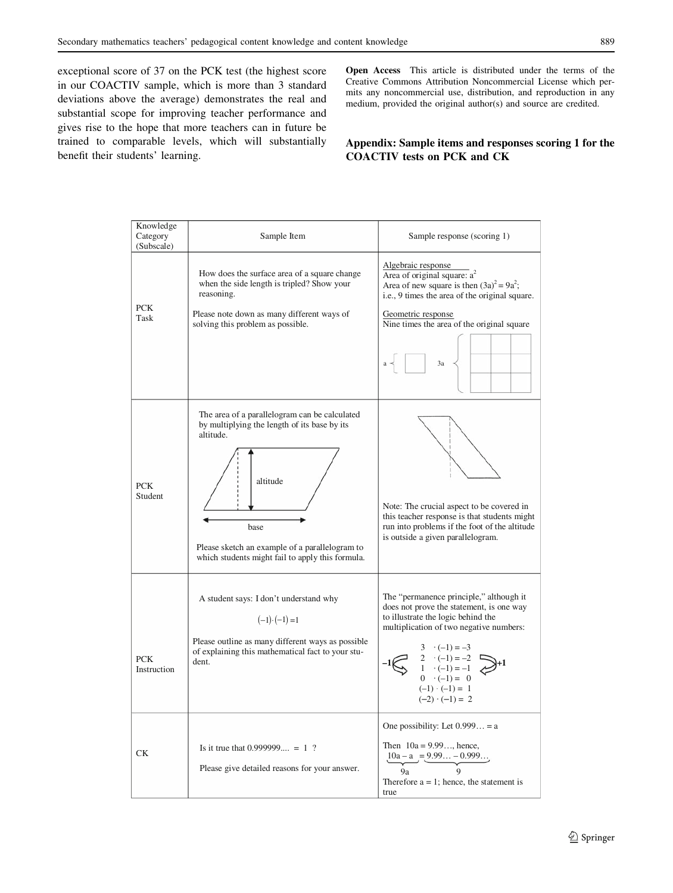exceptional score of 37 on the PCK test (the highest score in our COACTIV sample, which is more than 3 standard deviations above the average) demonstrates the real and substantial scope for improving teacher performance and gives rise to the hope that more teachers can in future be trained to comparable levels, which will substantially benefit their students' learning.

Open Access This article is distributed under the terms of the Creative Commons Attribution Noncommercial License which permits any noncommercial use, distribution, and reproduction in any medium, provided the original author(s) and source are credited.

# Appendix: Sample items and responses scoring 1 for the COACTIV tests on PCK and CK

| Knowledge<br>Category<br>(Subscale) | Sample Item                                                                                                                                                                                                                          | Sample response (scoring 1)                                                                                                                                                                                                                                                                                                               |
|-------------------------------------|--------------------------------------------------------------------------------------------------------------------------------------------------------------------------------------------------------------------------------------|-------------------------------------------------------------------------------------------------------------------------------------------------------------------------------------------------------------------------------------------------------------------------------------------------------------------------------------------|
| <b>PCK</b><br>Task                  | How does the surface area of a square change<br>when the side length is tripled? Show your<br>reasoning.<br>Please note down as many different ways of<br>solving this problem as possible.                                          | Algebraic response<br>Area of original square: a <sup>2</sup><br>Area of new square is then $(3a)^2 = 9a^2$ ;<br>i.e., 9 times the area of the original square.<br>Geometric response<br>Nine times the area of the original square<br>3a                                                                                                 |
| <b>PCK</b><br>Student               | The area of a parallelogram can be calculated<br>by multiplying the length of its base by its<br>altitude.<br>altitude<br>base<br>Please sketch an example of a parallelogram to<br>which students might fail to apply this formula. | Note: The crucial aspect to be covered in<br>this teacher response is that students might<br>run into problems if the foot of the altitude<br>is outside a given parallelogram.                                                                                                                                                           |
| <b>PCK</b><br>Instruction           | A student says: I don't understand why<br>$(-1) \cdot (-1) = 1$<br>Please outline as many different ways as possible<br>of explaining this mathematical fact to your stu-<br>dent.                                                   | The "permanence principle," although it<br>does not prove the statement, is one way<br>to illustrate the logic behind the<br>multiplication of two negative numbers:<br>$3^{\circ} (-1) = -3$<br>$\begin{array}{ccc} 2 & (-1) = -2 \\ \Rightarrow & 1 & (-1) = -1 \\ 0 & (-1) = 0 \end{array}$<br>$(-1)^{2}(-1) = 1$<br>$(-2)$ $(-1) = 2$ |
| <b>CK</b>                           | Is it true that $0.999999 = 1$ ?<br>Please give detailed reasons for your answer.                                                                                                                                                    | One possibility: Let $0.999 = a$<br>Then $10a = 9.99$ , hence,<br>$\frac{10a-a}{9a} = \frac{9.99 - 0.999}{9}$<br>Therefore $a = 1$ ; hence, the statement is<br>true                                                                                                                                                                      |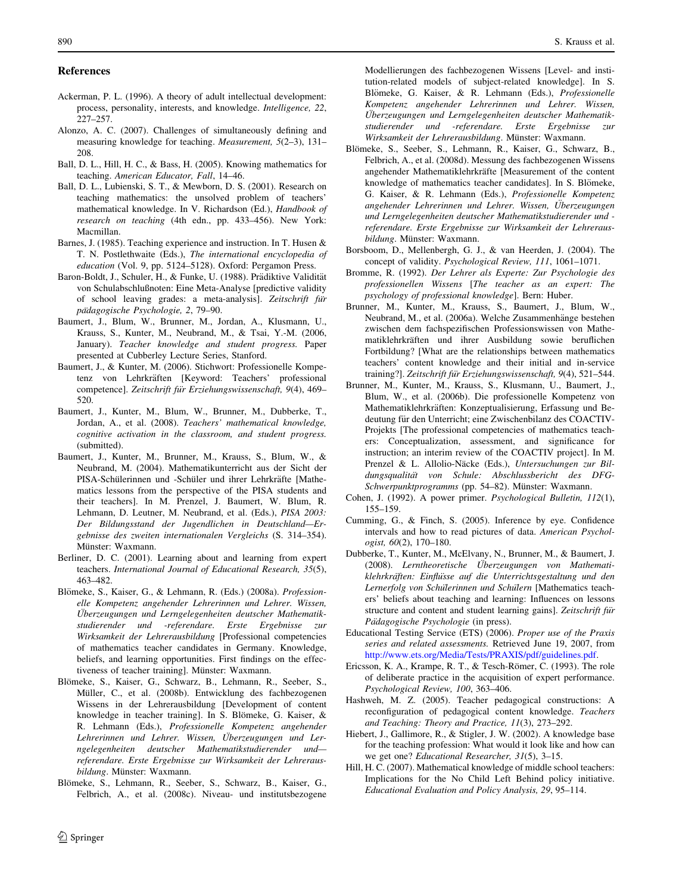### <span id="page-17-0"></span>References

- Ackerman, P. L. (1996). A theory of adult intellectual development: process, personality, interests, and knowledge. Intelligence, 22, 227–257.
- Alonzo, A. C. (2007). Challenges of simultaneously defining and measuring knowledge for teaching. Measurement, 5(2–3), 131– 208.
- Ball, D. L., Hill, H. C., & Bass, H. (2005). Knowing mathematics for teaching. American Educator, Fall, 14–46.
- Ball, D. L., Lubienski, S. T., & Mewborn, D. S. (2001). Research on teaching mathematics: the unsolved problem of teachers' mathematical knowledge. In V. Richardson (Ed.), Handbook of research on teaching (4th edn., pp. 433–456). New York: Macmillan.
- Barnes, J. (1985). Teaching experience and instruction. In T. Husen & T. N. Postlethwaite (Eds.), The international encyclopedia of education (Vol. 9, pp. 5124–5128). Oxford: Pergamon Press.
- Baron-Boldt, J., Schuler, H., & Funke, U. (1988). Prädiktive Validität von Schulabschlußnoten: Eine Meta-Analyse [predictive validity of school leaving grades: a meta-analysis]. Zeitschrift für pädagogische Psychologie, 2, 79-90.
- Baumert, J., Blum, W., Brunner, M., Jordan, A., Klusmann, U., Krauss, S., Kunter, M., Neubrand, M., & Tsai, Y.-M. (2006, January). Teacher knowledge and student progress. Paper presented at Cubberley Lecture Series, Stanford.
- Baumert, J., & Kunter, M. (2006). Stichwort: Professionelle Kompetenz von Lehrkräften [Keyword: Teachers' professional competence]. Zeitschrift für Erziehungswissenschaft, 9(4), 469– 520.
- Baumert, J., Kunter, M., Blum, W., Brunner, M., Dubberke, T., Jordan, A., et al. (2008). Teachers' mathematical knowledge, cognitive activation in the classroom, and student progress. (submitted).
- Baumert, J., Kunter, M., Brunner, M., Krauss, S., Blum, W., & Neubrand, M. (2004). Mathematikunterricht aus der Sicht der PISA-Schülerinnen und -Schüler und ihrer Lehrkräfte [Mathematics lessons from the perspective of the PISA students and their teachers]. In M. Prenzel, J. Baumert, W. Blum, R. Lehmann, D. Leutner, M. Neubrand, et al. (Eds.), PISA 2003: Der Bildungsstand der Jugendlichen in Deutschland—Ergebnisse des zweiten internationalen Vergleichs (S. 314–354). Münster: Waxmann.
- Berliner, D. C. (2001). Learning about and learning from expert teachers. International Journal of Educational Research, 35(5), 463–482.
- Blömeke, S., Kaiser, G., & Lehmann, R. (Eds.) (2008a). Professionelle Kompetenz angehender Lehrerinnen und Lehrer. Wissen, U¨berzeugungen und Lerngelegenheiten deutscher Mathematikstudierender und -referendare. Erste Ergebnisse zur Wirksamkeit der Lehrerausbildung [Professional competencies of mathematics teacher candidates in Germany. Knowledge, beliefs, and learning opportunities. First findings on the effectiveness of teacher training]. Münster: Waxmann.
- Blömeke, S., Kaiser, G., Schwarz, B., Lehmann, R., Seeber, S., Müller, C., et al. (2008b). Entwicklung des fachbezogenen Wissens in der Lehrerausbildung [Development of content knowledge in teacher training]. In S. Blömeke, G. Kaiser, & R. Lehmann (Eds.), Professionelle Kompetenz angehender Lehrerinnen und Lehrer. Wissen, Überzeugungen und Lerngelegenheiten deutscher Mathematikstudierender und referendare. Erste Ergebnisse zur Wirksamkeit der Lehrerausbildung. Münster: Waxmann.
- Blömeke, S., Lehmann, R., Seeber, S., Schwarz, B., Kaiser, G., Felbrich, A., et al. (2008c). Niveau- und institutsbezogene

Modellierungen des fachbezogenen Wissens [Level- and institution-related models of subject-related knowledge]. In S. Blömeke, G. Kaiser, & R. Lehmann (Eds.), Professionelle Kompetenz angehender Lehrerinnen und Lehrer. Wissen, Überzeugungen und Lerngelegenheiten deutscher Mathematikstudierender und -referendare. Erste Ergebnisse zur Wirksamkeit der Lehrerausbildung. Münster: Waxmann.

- Blömeke, S., Seeber, S., Lehmann, R., Kaiser, G., Schwarz, B., Felbrich, A., et al. (2008d). Messung des fachbezogenen Wissens angehender Mathematiklehrkräfte [Measurement of the content knowledge of mathematics teacher candidates]. In S. Blömeke, G. Kaiser, & R. Lehmann (Eds.), Professionelle Kompetenz angehender Lehrerinnen und Lehrer. Wissen, Überzeugungen und Lerngelegenheiten deutscher Mathematikstudierender und referendare. Erste Ergebnisse zur Wirksamkeit der Lehrerausbildung. Münster: Waxmann.
- Borsboom, D., Mellenbergh, G. J., & van Heerden, J. (2004). The concept of validity. Psychological Review, 111, 1061–1071.
- Bromme, R. (1992). Der Lehrer als Experte: Zur Psychologie des professionellen Wissens [The teacher as an expert: The psychology of professional knowledge]. Bern: Huber.
- Brunner, M., Kunter, M., Krauss, S., Baumert, J., Blum, W., Neubrand, M., et al. (2006a). Welche Zusammenhänge bestehen zwischen dem fachspezifischen Professionswissen von Mathematiklehrkräften und ihrer Ausbildung sowie beruflichen Fortbildung? [What are the relationships between mathematics teachers' content knowledge and their initial and in-service training?]. Zeitschrift für Erziehungswissenschaft, 9(4), 521-544.
- Brunner, M., Kunter, M., Krauss, S., Klusmann, U., Baumert, J., Blum, W., et al. (2006b). Die professionelle Kompetenz von Mathematiklehrkräften: Konzeptualisierung, Erfassung und Bedeutung für den Unterricht; eine Zwischenbilanz des COACTIV-Projekts [The professional competencies of mathematics teachers: Conceptualization, assessment, and significance for instruction; an interim review of the COACTIV project]. In M. Prenzel & L. Allolio-Näcke (Eds.), Untersuchungen zur Bildungsqualität von Schule: Abschlussbericht des DFG-Schwerpunktprogramms (pp. 54–82). Münster: Waxmann.
- Cohen, J. (1992). A power primer. Psychological Bulletin, 112(1), 155–159.
- Cumming, G., & Finch, S. (2005). Inference by eye. Confidence intervals and how to read pictures of data. American Psychologist, 60(2), 170–180.
- Dubberke, T., Kunter, M., McElvany, N., Brunner, M., & Baumert, J. (2008). Lerntheoretische Überzeugungen von Mathematiklehrkräften: Einflüsse auf die Unterrichtsgestaltung und den Lernerfolg von Schülerinnen und Schülern [Mathematics teachers' beliefs about teaching and learning: Influences on lessons structure and content and student learning gains]. Zeitschrift für Pädagogische Psychologie (in press).
- Educational Testing Service (ETS) (2006). Proper use of the Praxis series and related assessments. Retrieved June 19, 2007, from [http://www.ets.org/Media/Tests/PRAXIS/pdf/guidelines.pdf.](http://www.ets.org/Media/Tests/PRAXIS/pdf/guidelines.pdf)
- Ericsson, K. A., Krampe, R. T., & Tesch-Römer, C. (1993). The role of deliberate practice in the acquisition of expert performance. Psychological Review, 100, 363–406.
- Hashweh, M. Z. (2005). Teacher pedagogical constructions: A reconfiguration of pedagogical content knowledge. Teachers and Teaching: Theory and Practice, 11(3), 273–292.
- Hiebert, J., Gallimore, R., & Stigler, J. W. (2002). A knowledge base for the teaching profession: What would it look like and how can we get one? Educational Researcher, 31(5), 3–15.
- Hill, H. C. (2007). Mathematical knowledge of middle school teachers: Implications for the No Child Left Behind policy initiative. Educational Evaluation and Policy Analysis, 29, 95–114.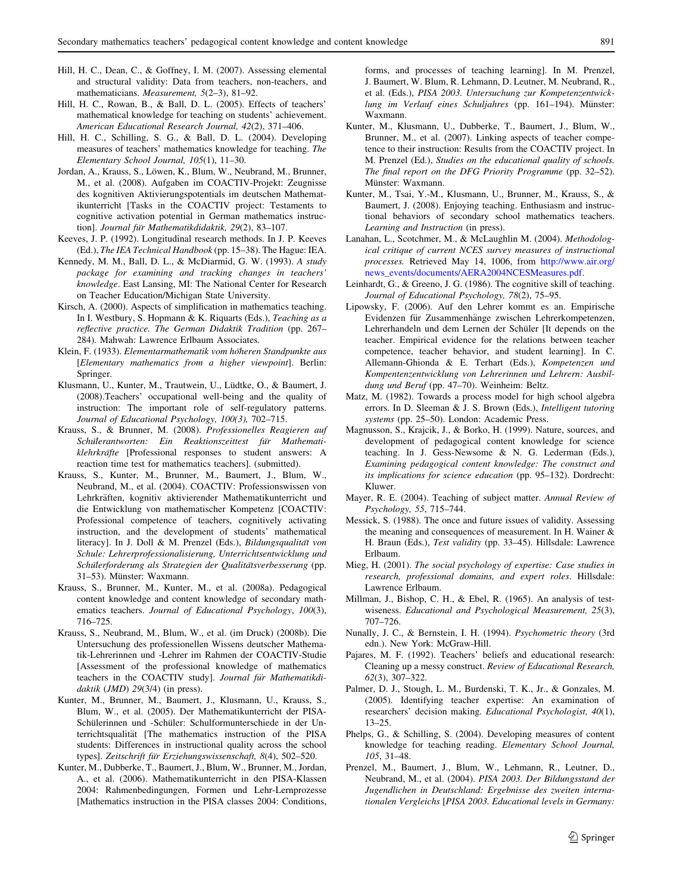- <span id="page-18-0"></span>Hill, H. C., Dean, C., & Goffney, I. M. (2007). Assessing elemental and structural validity: Data from teachers, non-teachers, and mathematicians. Measurement, 5(2-3), 81-92.
- Hill, H. C., Rowan, B., & Ball, D. L. (2005). Effects of teachers' mathematical knowledge for teaching on students' achievement. American Educational Research Journal, 42(2), 371–406.
- Hill, H. C., Schilling, S. G., & Ball, D. L. (2004). Developing measures of teachers' mathematics knowledge for teaching. The Elementary School Journal, 105(1), 11–30.
- Jordan, A., Krauss, S., Löwen, K., Blum, W., Neubrand, M., Brunner, M., et al. (2008). Aufgaben im COACTIV-Projekt: Zeugnisse des kognitiven Aktivierungspotentials im deutschen Mathematikunterricht [Tasks in the COACTIV project: Testaments to cognitive activation potential in German mathematics instruction]. Journal für Mathematikdidaktik, 29(2), 83-107.
- Keeves, J. P. (1992). Longitudinal research methods. In J. P. Keeves (Ed.), The IEA Technical Handbook (pp. 15–38). The Hague: IEA.
- Kennedy, M. M., Ball, D. L., & McDiarmid, G. W. (1993). A study package for examining and tracking changes in teachers' knowledge. East Lansing, MI: The National Center for Research on Teacher Education/Michigan State University.
- Kirsch, A. (2000). Aspects of simplification in mathematics teaching. In I. Westbury, S. Hopmann & K. Riquarts (Eds.), Teaching as a reflective practice. The German Didaktik Tradition (pp. 267– 284). Mahwah: Lawrence Erlbaum Associates.
- Klein, F. (1933). Elementarmathematik vom höheren Standpunkte aus [Elementary mathematics from a higher viewpoint]. Berlin: Springer.
- Klusmann, U., Kunter, M., Trautwein, U., Lüdtke, O., & Baumert, J. (2008).Teachers' occupational well-being and the quality of instruction: The important role of self-regulatory patterns. Journal of Educational Psychology, 100(3), 702–715.
- Krauss, S., & Brunner, M. (2008). Professionelles Reagieren auf Schülerantworten: Ein Reaktionszeittest für Mathematiklehrkräfte [Professional responses to student answers: A reaction time test for mathematics teachers]. (submitted).
- Krauss, S., Kunter, M., Brunner, M., Baumert, J., Blum, W., Neubrand, M., et al. (2004). COACTIV: Professionswissen von Lehrkräften, kognitiv aktivierender Mathematikunterricht und die Entwicklung von mathematischer Kompetenz [COACTIV: Professional competence of teachers, cognitively activating instruction, and the development of students' mathematical literacy]. In J. Doll & M. Prenzel (Eds.), Bildungsqualität von Schule: Lehrerprofessionalisierung, Unterrichtsentwicklung und Schülerforderung als Strategien der Qualitätsverbesserung (pp. 31–53). Münster: Waxmann.
- Krauss, S., Brunner, M., Kunter, M., et al. (2008a). Pedagogical content knowledge and content knowledge of secondary mathematics teachers. Journal of Educational Psychology, 100(3), 716–725.
- Krauss, S., Neubrand, M., Blum, W., et al. (im Druck) (2008b). Die Untersuchung des professionellen Wissens deutscher Mathematik-Lehrerinnen und -Lehrer im Rahmen der COACTIV-Studie [Assessment of the professional knowledge of mathematics teachers in the COACTIV study]. Journal für Mathematikdidaktik  $(JMD)$  29(3/4) (in press).
- Kunter, M., Brunner, M., Baumert, J., Klusmann, U., Krauss, S., Blum, W., et al. (2005). Der Mathematikunterricht der PISA-Schülerinnen und -Schüler: Schulformunterschiede in der Unterrichtsqualität [The mathematics instruction of the PISA students: Differences in instructional quality across the school types]. Zeitschrift für Erziehungswissenschaft, 8(4), 502-520.
- Kunter, M., Dubberke, T., Baumert, J., Blum, W., Brunner, M., Jordan, A., et al. (2006). Mathematikunterricht in den PISA-Klassen 2004: Rahmenbedingungen, Formen und Lehr-Lernprozesse [Mathematics instruction in the PISA classes 2004: Conditions,

forms, and processes of teaching learning]. In M. Prenzel, J. Baumert, W. Blum, R. Lehmann, D. Leutner, M. Neubrand, R., et al. (Eds.), PISA 2003. Untersuchung zur Kompetenzentwicklung im Verlauf eines Schuljahres (pp. 161-194). Münster: Waxmann.

- Kunter, M., Klusmann, U., Dubberke, T., Baumert, J., Blum, W., Brunner, M., et al. (2007). Linking aspects of teacher competence to their instruction: Results from the COACTIV project. In M. Prenzel (Ed.), Studies on the educational quality of schools. The final report on the DFG Priority Programme (pp. 32–52). Münster: Waxmann.
- Kunter, M., Tsai, Y.-M., Klusmann, U., Brunner, M., Krauss, S., & Baumert, J. (2008). Enjoying teaching. Enthusiasm and instructional behaviors of secondary school mathematics teachers. Learning and Instruction (in press).
- Lanahan, L., Scotchmer, M., & McLaughlin M. (2004). Methodological critique of current NCES survey measures of instructional processes. Retrieved May 14, 1006, from [http://www.air.org/](http://www.air.org/news_events/documents/AERA2004NCESMeasures.pdf) [news\\_events/documents/AERA2004NCESMeasures.pdf.](http://www.air.org/news_events/documents/AERA2004NCESMeasures.pdf)
- Leinhardt, G., & Greeno, J. G. (1986). The cognitive skill of teaching. Journal of Educational Psychology, 78(2), 75–95.
- Lipowsky, F. (2006). Auf den Lehrer kommt es an. Empirische Evidenzen für Zusammenhänge zwischen Lehrerkompetenzen, Lehrerhandeln und dem Lernen der Schüler [It depends on the teacher. Empirical evidence for the relations between teacher competence, teacher behavior, and student learning]. In C. Allemann-Ghionda & E. Terhart (Eds.), Kompetenzen und Kompentenzentwicklung von Lehrerinnen und Lehrern: Ausbildung und Beruf (pp. 47-70). Weinheim: Beltz.
- Matz, M. (1982). Towards a process model for high school algebra errors. In D. Sleeman & J. S. Brown (Eds.), Intelligent tutoring systems (pp. 25–50). London: Academic Press.
- Magnusson, S., Krajcik, J., & Borko, H. (1999). Nature, sources, and development of pedagogical content knowledge for science teaching. In J. Gess-Newsome & N. G. Lederman (Eds.), Examining pedagogical content knowledge: The construct and its implications for science education (pp. 95–132). Dordrecht: Kluwer.
- Mayer, R. E. (2004). Teaching of subject matter. Annual Review of Psychology, 55, 715–744.
- Messick, S. (1988). The once and future issues of validity. Assessing the meaning and consequences of measurement. In H. Wainer & H. Braun (Eds.), Test validity (pp. 33–45). Hillsdale: Lawrence Erlbaum.
- Mieg, H. (2001). The social psychology of expertise: Case studies in research, professional domains, and expert roles. Hillsdale: Lawrence Erlbaum.
- Millman, J., Bishop, C. H., & Ebel, R. (1965). An analysis of testwiseness. Educational and Psychological Measurement, 25(3), 707–726.
- Nunally, J. C., & Bernstein, I. H. (1994). Psychometric theory (3rd edn.). New York: McGraw-Hill.
- Pajares, M. F. (1992). Teachers' beliefs and educational research: Cleaning up a messy construct. Review of Educational Research, 62(3), 307–322.
- Palmer, D. J., Stough, L. M., Burdenski, T. K., Jr., & Gonzales, M. (2005). Identifying teacher expertise: An examination of researchers' decision making. Educational Psychologist, 40(1), 13–25.
- Phelps, G., & Schilling, S. (2004). Developing measures of content knowledge for teaching reading. Elementary School Journal, 105, 31–48.
- Prenzel, M., Baumert, J., Blum, W., Lehmann, R., Leutner, D., Neubrand, M., et al. (2004). PISA 2003. Der Bildungsstand der Jugendlichen in Deutschland: Ergebnisse des zweiten internationalen Vergleichs [PISA 2003. Educational levels in Germany: